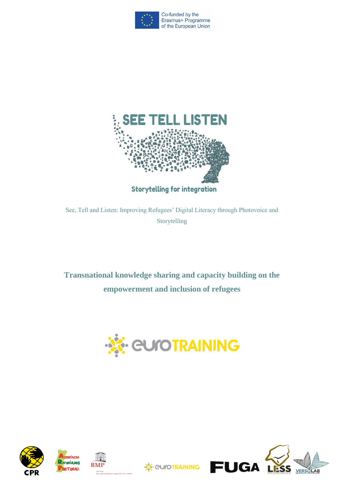



See, Tell and Listen: Improving Refugees' Digital Literacy through Photovoice and Storytelling

**Transnational knowledge sharing and capacity building on the empowerment and inclusion of refugees**









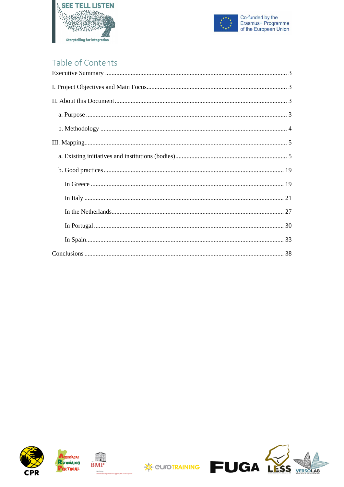



# Table of Contents









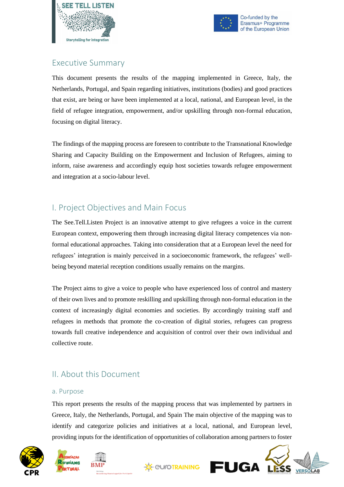



### <span id="page-2-0"></span>Executive Summary

This document presents the results of the mapping implemented in Greece, Italy, the Netherlands, Portugal, and Spain regarding initiatives, institutions (bodies) and good practices that exist, are being or have been implemented at a local, national, and European level, in the field of refugee integration, empowerment, and/or upskilling through non-formal education, focusing on digital literacy.

The findings of the mapping process are foreseen to contribute to the Transnational Knowledge Sharing and Capacity Building on the Empowerment and Inclusion of Refugees, aiming to inform, raise awareness and accordingly equip host societies towards refugee empowerment and integration at a socio-labour level.

## <span id="page-2-1"></span>I. Project Objectives and Main Focus

The See.Tell.Listen Project is an innovative attempt to give refugees a voice in the current European context, empowering them through increasing digital literacy competences via nonformal educational approaches. Taking into consideration that at a European level the need for refugees' integration is mainly perceived in a socioeconomic framework, the refugees' wellbeing beyond material reception conditions usually remains on the margins.

The Project aims to give a voice to people who have experienced loss of control and mastery of their own lives and to promote reskilling and upskilling through non-formal education in the context of increasingly digital economies and societies. By accordingly training staff and refugees in methods that promote the co-creation of digital stories, refugees can progress towards full creative independence and acquisition of control over their own individual and collective route.

## <span id="page-2-2"></span>II. About this Document

#### <span id="page-2-3"></span>a. Purpose

This report presents the results of the mapping process that was implemented by partners in Greece, Italy, the Netherlands, Portugal, and Spain The main objective of the mapping was to identify and categorize policies and initiatives at a local, national, and European level, providing inputs for the identification of opportunities of collaboration among partners to foster





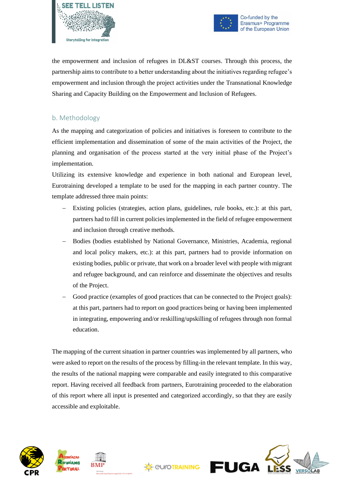



the empowerment and inclusion of refugees in DL&ST courses. Through this process, the partnership aims to contribute to a better understanding about the initiatives regarding refugee's empowerment and inclusion through the project activities under the Transnational Knowledge Sharing and Capacity Building on the Empowerment and Inclusion of Refugees.

### <span id="page-3-0"></span>b. Methodology

As the mapping and categorization of policies and initiatives is foreseen to contribute to the efficient implementation and dissemination of some of the main activities of the Project, the planning and organisation of the process started at the very initial phase of the Project's implementation.

Utilizing its extensive knowledge and experience in both national and European level, Eurotraining developed a template to be used for the mapping in each partner country. The template addressed three main points:

- − Existing policies (strategies, action plans, guidelines, rule books, etc.): at this part, partners had to fill in current policies implemented in the field of refugee empowerment and inclusion through creative methods.
- Bodies (bodies established by National Governance, Ministries, Academia, regional and local policy makers, etc.): at this part, partners had to provide information on existing bodies, public or private, that work on a broader level with people with migrant and refugee background, and can reinforce and disseminate the objectives and results of the Project.
- Good practice (examples of good practices that can be connected to the Project goals): at this part, partners had to report on good practices being or having been implemented in integrating, empowering and/or reskilling/upskilling of refugees through non formal education.

The mapping of the current situation in partner countries was implemented by all partners, who were asked to report on the results of the process by filling-in the relevant template. In this way, the results of the national mapping were comparable and easily integrated to this comparative report. Having received all feedback from partners, Eurotraining proceeded to the elaboration of this report where all input is presented and categorized accordingly, so that they are easily accessible and exploitable.





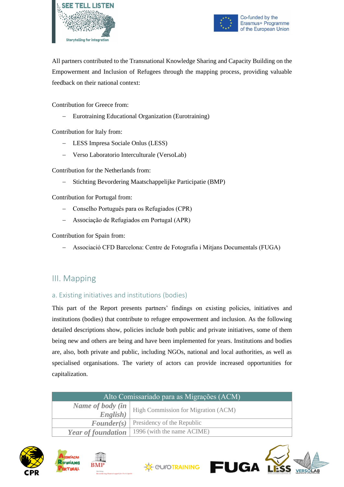



All partners contributed to the Transnational Knowledge Sharing and Capacity Building on the Empowerment and Inclusion of Refugees through the mapping process, providing valuable feedback on their national context:

Contribution for Greece from:

Eurotraining Educational Organization (Eurotraining)

Contribution for Italy from:

- − LESS Impresa Sociale Onlus (LESS)
- − Verso Laboratorio Interculturale (VersoLab)

Contribution for the Netherlands from:

− Stichting Bevordering Maatschappelijke Participatie (BMP)

Contribution for Portugal from:

- − Conselho Português para os Refugiados (CPR)
- − Associação de Refugiados em Portugal (APR)

Contribution for Spain from:

− Associació CFD Barcelona: Centre de Fotografia i Mitjans Documentals (FUGA)

## <span id="page-4-0"></span>III. Mapping

#### <span id="page-4-1"></span>a. Existing initiatives and institutions (bodies)

This part of the Report presents partners' findings on existing policies, initiatives and institutions (bodies) that contribute to refugee empowerment and inclusion. As the following detailed descriptions show, policies include both public and private initiatives, some of them being new and others are being and have been implemented for years. Institutions and bodies are, also, both private and public, including NGOs, national and local authorities, as well as specialised organisations. The variety of actors can provide increased opportunities for capitalization.

| Alto Comissariado para as Migrações (ACM) |                                                 |
|-------------------------------------------|-------------------------------------------------|
| Name of body (in                          | <b>High Commission for Migration (ACM)</b>      |
| English)                                  |                                                 |
|                                           | <b>Founder(s)</b> Presidency of the Republic    |
|                                           | Year of foundation   1996 (with the name ACIME) |

**XX EU/OTRAINING** 







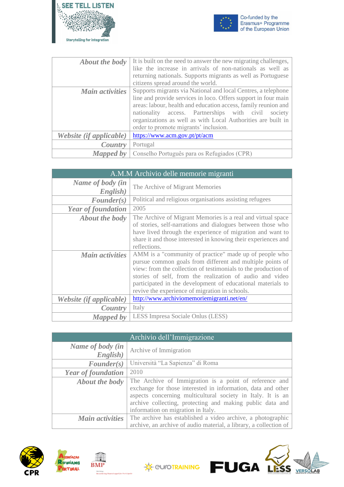



| <b>About the body</b>   | It is built on the need to answer the new migrating challenges,<br>like the increase in arrivals of non-nationals as well as<br>returning nationals. Supports migrants as well as Portuguese<br>citizens spread around the world.                                                                                                                                    |
|-------------------------|----------------------------------------------------------------------------------------------------------------------------------------------------------------------------------------------------------------------------------------------------------------------------------------------------------------------------------------------------------------------|
| Main activities         | Supports migrants via National and local Centres, a telephone<br>line and provide services in loco. Offers support in four main<br>areas: labour, health and education access, family reunion and<br>nationality access. Partnerships with civil<br>society<br>organizations as well as with Local Authorities are built in<br>order to promote migrants' inclusion. |
| Website (if applicable) | https://www.acm.gov.pt/pt/acm                                                                                                                                                                                                                                                                                                                                        |
| Country                 | Portugal                                                                                                                                                                                                                                                                                                                                                             |
| Mapped by               | Conselho Português para os Refugiados (CPR)                                                                                                                                                                                                                                                                                                                          |

| A.M.M Archivio delle memorie migranti |                                                                                                                                                                                                                                                                                                                                                                    |
|---------------------------------------|--------------------------------------------------------------------------------------------------------------------------------------------------------------------------------------------------------------------------------------------------------------------------------------------------------------------------------------------------------------------|
| Name of body (in<br>English)          | The Archive of Migrant Memories                                                                                                                                                                                                                                                                                                                                    |
| $\textit{Founder}(s)$                 | Political and religious organisations assisting refugees                                                                                                                                                                                                                                                                                                           |
| <b>Year of foundation</b>             | 2005                                                                                                                                                                                                                                                                                                                                                               |
| <b>About the body</b>                 | The Archive of Migrant Memories is a real and virtual space<br>of stories, self-narrations and dialogues between those who<br>have lived through the experience of migration and want to<br>share it and those interested in knowing their experiences and<br>reflections.                                                                                         |
| <b>Main activities</b>                | AMM is a "community of practice" made up of people who<br>pursue common goals from different and multiple points of<br>view: from the collection of testimonials to the production of<br>stories of self, from the realization of audio and video<br>participated in the development of educational materials to<br>revive the experience of migration in schools. |
| Website (if applicable)               | http://www.archiviomemoriemigranti.net/en/                                                                                                                                                                                                                                                                                                                         |
| Country                               | Italy                                                                                                                                                                                                                                                                                                                                                              |
| Mapped by                             | LESS Impresa Sociale Onlus (LESS)                                                                                                                                                                                                                                                                                                                                  |

| Archivio dell'Immigrazione   |                                                                                                                                                                                                                                                                                          |
|------------------------------|------------------------------------------------------------------------------------------------------------------------------------------------------------------------------------------------------------------------------------------------------------------------------------------|
| Name of body (in<br>English) | Archive of Immigration                                                                                                                                                                                                                                                                   |
| $\textit{Founder}(s)$        | Università "La Sapienza" di Roma                                                                                                                                                                                                                                                         |
| <b>Year of foundation</b>    | 2010                                                                                                                                                                                                                                                                                     |
| <b>About the body</b>        | The Archive of Immigration is a point of reference and<br>exchange for those interested in information, data and other<br>aspects concerning multicultural society in Italy. It is an<br>archive collecting, protecting and making public data and<br>information on migration in Italy. |
| <b>Main activities</b>       | The archive has established a video archive, a photographic<br>archive, an archive of audio material, a library, a collection of                                                                                                                                                         |





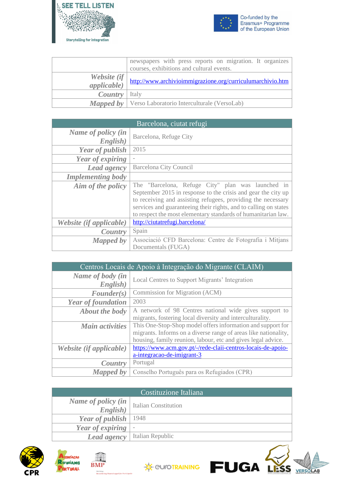



LESS

VERSOLAB

|                            | newspapers with press reports on migration. It organizes<br>courses, exhibitions and cultural events. |
|----------------------------|-------------------------------------------------------------------------------------------------------|
| Website (if<br>appliedble) | http://www.archivioimmigrazione.org/curriculumarchivio.htm                                            |
| <b>Country</b> Italy       |                                                                                                       |
|                            | <b>Mapped by</b>   Verso Laboratorio Interculturale (VersoLab)                                        |

| Barcelona, ciutat refugi       |                                                                                                                                                                                                                                                                                                                         |
|--------------------------------|-------------------------------------------------------------------------------------------------------------------------------------------------------------------------------------------------------------------------------------------------------------------------------------------------------------------------|
| Name of policy (in<br>English) | Barcelona, Refuge City                                                                                                                                                                                                                                                                                                  |
| <b>Year of publish</b>         | 2015                                                                                                                                                                                                                                                                                                                    |
| Year of expiring               |                                                                                                                                                                                                                                                                                                                         |
| Lead agency                    | Barcelona City Council                                                                                                                                                                                                                                                                                                  |
| <b>Implementing body</b>       |                                                                                                                                                                                                                                                                                                                         |
| Aim of the policy              | The "Barcelona, Refuge City" plan was launched in<br>September 2015 in response to the crisis and gear the city up<br>to receiving and assisting refugees, providing the necessary<br>services and guaranteeing their rights, and to calling on states<br>to respect the most elementary standards of humanitarian law. |
| Website (if applicable)        | http://ciutatrefugi.barcelona/                                                                                                                                                                                                                                                                                          |
| Country                        | Spain                                                                                                                                                                                                                                                                                                                   |
| <b>Mapped by</b>               | Associació CFD Barcelona: Centre de Fotografia i Mitjans<br>Documentals (FUGA)                                                                                                                                                                                                                                          |

| Centros Locais de Apoio à Integração do Migrante (CLAIM) |                                                                                                                                                                                                |
|----------------------------------------------------------|------------------------------------------------------------------------------------------------------------------------------------------------------------------------------------------------|
| Name of body (in<br>English)                             | Local Centres to Support Migrants' Integration                                                                                                                                                 |
| $\textit{Founder}(s)$                                    | Commission for Migration (ACM)                                                                                                                                                                 |
| <b>Year of foundation</b>                                | 2003                                                                                                                                                                                           |
| <b>About the body</b>                                    | A network of 98 Centres national wide gives support to<br>migrants, fostering local diversity and interculturality.                                                                            |
| <b>Main activities</b>                                   | This One-Stop-Shop model offers information and support for<br>migrants. Informs on a diverse range of areas like nationality,<br>housing, family reunion, labour, etc and gives legal advice. |
| Website (if applicable)                                  | https://www.acm.gov.pt/-/rede-claii-centros-locais-de-apoio-<br>a-integracao-de-imigrant-3                                                                                                     |
| Country                                                  | Portugal                                                                                                                                                                                       |
| Mapped by                                                | Conselho Português para os Refugiados (CPR)                                                                                                                                                    |

| Costituzione Italiana    |                             |
|--------------------------|-----------------------------|
| Name of policy (in       | <b>Italian Constitution</b> |
| English)                 |                             |
| Year of publish $ 1948 $ |                             |
| Year of expiring         | $\overline{\phantom{a}}$    |
| Lead agency              | Italian Republic            |





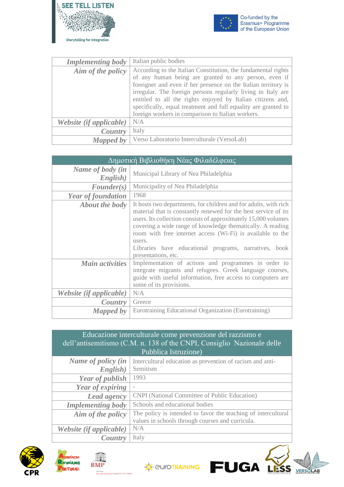



VERSOLAB

| <b>Implementing body</b> | Italian public bodies                                          |
|--------------------------|----------------------------------------------------------------|
| Aim of the policy        | According to the Italian Constitution, the fundamental rights  |
|                          | of any human being are granted to any person, even if          |
|                          | foreigner and even if her presence on the Italian territory is |
|                          | irregular. The foreign persons regularly living in Italy are   |
|                          | entitled to all the rights enjoyed by Italian citizens and,    |
|                          | specifically, equal treatment and full equality are granted to |
|                          | foreign workers in comparison to Italian workers.              |
| Website (if applicable)  | N/A                                                            |
| Country                  | Italy                                                          |
| Mapped by                | Verso Laboratorio Interculturale (VersoLab)                    |

| Δημοτική Βιβλιοθήκη Νέας Φιλαδέλφειας |                                                                                                                                                                                                                                                                                                                                                                                                                             |
|---------------------------------------|-----------------------------------------------------------------------------------------------------------------------------------------------------------------------------------------------------------------------------------------------------------------------------------------------------------------------------------------------------------------------------------------------------------------------------|
| Name of body (in<br>English)          | Municipal Library of Nea Philadelphia                                                                                                                                                                                                                                                                                                                                                                                       |
| $\textit{Founder}(s)$                 | Municipality of Nea Philadelphia                                                                                                                                                                                                                                                                                                                                                                                            |
| <b>Year of foundation</b>             | 1968                                                                                                                                                                                                                                                                                                                                                                                                                        |
| <b>About the body</b>                 | It hosts two departments, for children and for adults, with rich<br>material that is constantly renewed for the best service of its<br>users. Its collection consists of approximately 15,000 volumes<br>covering a wide range of knowledge thematically. A reading<br>room with free internet access (Wi-Fi) is available to the<br>users.<br>Libraries have educational programs, narratives, book<br>presentations, etc. |
| <b>Main activities</b>                | Implementation of actions and programmes in order to<br>integrate migrants and refugees. Greek language courses,<br>guide with useful information, free access to computers are<br>some of its provisions.                                                                                                                                                                                                                  |
| Website (if applicable)               | N/A                                                                                                                                                                                                                                                                                                                                                                                                                         |
| <i>Country</i>                        | Greece                                                                                                                                                                                                                                                                                                                                                                                                                      |
| Mapped by                             | Eurotraining Educational Organization (Eurotraining)                                                                                                                                                                                                                                                                                                                                                                        |

### Educazione interculturale come prevenzione del razzismo e dell'antisemitismo (C.M. n. 138 of the CNPI, Consiglio Nazionale delle Pubblica Istruzione)

| Name of policy (in<br>English) | Intercultural education as prevention of racism and anti-<br>Semitism                                             |
|--------------------------------|-------------------------------------------------------------------------------------------------------------------|
| <b>Year of publish</b>         | 1993                                                                                                              |
| Year of expiring               |                                                                                                                   |
| Lead agency                    | CNPI (National Committee of Public Education)                                                                     |
| <b>Implementing body</b>       | Schools and educational bodies                                                                                    |
| Aim of the policy              | The policy is intended to favor the teaching of intercultural<br>values in schools through courses and curricula. |
| Website (if applicable)        | N/A                                                                                                               |
| Country                        | Italy                                                                                                             |





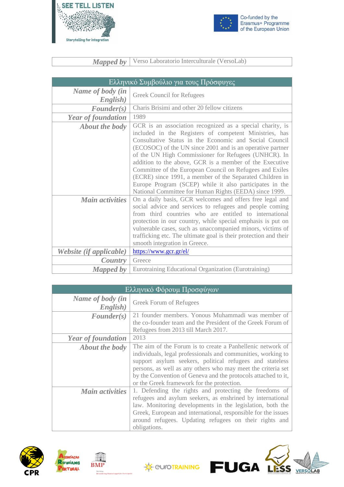



Co-funded by the<br>Erasmus+ Programme<br>of the European Union

*Mapped by* Verso Laboratorio Interculturale (VersoLab)

|                              | Ελληνικό Συμβούλιο για τους Πρόσφυγες                                                                                                                                                                                                                                                                                                                                                                                                                                                                                                                                                                      |  |
|------------------------------|------------------------------------------------------------------------------------------------------------------------------------------------------------------------------------------------------------------------------------------------------------------------------------------------------------------------------------------------------------------------------------------------------------------------------------------------------------------------------------------------------------------------------------------------------------------------------------------------------------|--|
| Name of body (in<br>English) | Greek Council for Refugees                                                                                                                                                                                                                                                                                                                                                                                                                                                                                                                                                                                 |  |
| $\textit{Founder}(s)$        | Charis Brisimi and other 20 fellow citizens                                                                                                                                                                                                                                                                                                                                                                                                                                                                                                                                                                |  |
| <b>Year of foundation</b>    | 1989                                                                                                                                                                                                                                                                                                                                                                                                                                                                                                                                                                                                       |  |
| <b>About the body</b>        | GCR is an association recognized as a special charity, is<br>included in the Registers of competent Ministries, has<br>Consultative Status in the Economic and Social Council<br>(ECOSOC) of the UN since 2001 and is an operative partner<br>of the UN High Commissioner for Refugees (UNHCR). In<br>addition to the above, GCR is a member of the Executive<br>Committee of the European Council on Refugees and Exiles<br>(ECRE) since 1991, a member of the Separated Children in<br>Europe Program (SCEP) while it also participates in the<br>National Committee for Human Rights (EEDA) since 1999. |  |
| <b>Main activities</b>       | On a daily basis, GCR welcomes and offers free legal and<br>social advice and services to refugees and people coming<br>from third countries who are entitled to international<br>protection in our country, while special emphasis is put on<br>vulnerable cases, such as unaccompanied minors, victims of<br>trafficking etc. The ultimate goal is their protection and their<br>smooth integration in Greece.                                                                                                                                                                                           |  |
| Website (if applicable)      | https://www.gcr.gr/el/                                                                                                                                                                                                                                                                                                                                                                                                                                                                                                                                                                                     |  |
| Country                      | Greece                                                                                                                                                                                                                                                                                                                                                                                                                                                                                                                                                                                                     |  |
| Mapped by                    | Eurotraining Educational Organization (Eurotraining)                                                                                                                                                                                                                                                                                                                                                                                                                                                                                                                                                       |  |

| Ελληνικό Φόρουμ Προσφύγων    |                                                                                                                                                                                                                                                                                                                                                                       |
|------------------------------|-----------------------------------------------------------------------------------------------------------------------------------------------------------------------------------------------------------------------------------------------------------------------------------------------------------------------------------------------------------------------|
| Name of body (in<br>English) | Greek Forum of Refugees                                                                                                                                                                                                                                                                                                                                               |
| $\textit{Founder}(s)$        | 21 founder members. Yonous Muhammadi was member of<br>the co-founder team and the President of the Greek Forum of                                                                                                                                                                                                                                                     |
|                              | Refugees from 2013 till March 2017.                                                                                                                                                                                                                                                                                                                                   |
| <b>Year of foundation</b>    | 2013                                                                                                                                                                                                                                                                                                                                                                  |
| <b>About the body</b>        | The aim of the Forum is to create a Panhellenic network of<br>individuals, legal professionals and communities, working to<br>support asylum seekers, political refugees and stateless<br>persons, as well as any others who may meet the criteria set<br>by the Convention of Geneva and the protocols attached to it,<br>or the Greek framework for the protection. |
| <b>Main activities</b>       | 1. Defending the rights and protecting the freedoms of<br>refugees and asylum seekers, as enshrined by international<br>law. Monitoring developments in the legislation, both the<br>Greek, European and international, responsible for the issues<br>around refugees. Updating refugees on their rights and<br>obligations.                                          |







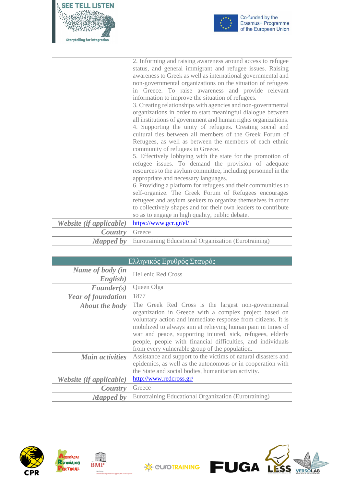



|                         | 2. Informing and raising awareness around access to refugee<br>status, and general immigrant and refugee issues. Raising<br>awareness to Greek as well as international governmental and<br>non-governmental organizations on the situation of refugees<br>in Greece. To raise awareness and provide relevant<br>information to improve the situation of refugees.<br>3. Creating relationships with agencies and non-governmental<br>organizations in order to start meaningful dialogue between<br>all institutions of government and human rights organizations.<br>4. Supporting the unity of refugees. Creating social and<br>cultural ties between all members of the Greek Forum of<br>Refugees, as well as between the members of each ethnic<br>community of refugees in Greece.<br>5. Effectively lobbying with the state for the promotion of<br>refugee issues. To demand the provision of adequate<br>resources to the asylum committee, including personnel in the<br>appropriate and necessary languages.<br>6. Providing a platform for refugees and their communities to |
|-------------------------|-------------------------------------------------------------------------------------------------------------------------------------------------------------------------------------------------------------------------------------------------------------------------------------------------------------------------------------------------------------------------------------------------------------------------------------------------------------------------------------------------------------------------------------------------------------------------------------------------------------------------------------------------------------------------------------------------------------------------------------------------------------------------------------------------------------------------------------------------------------------------------------------------------------------------------------------------------------------------------------------------------------------------------------------------------------------------------------------|
|                         | self-organize. The Greek Forum of Refugees encourages<br>refugees and asylum seekers to organize themselves in order                                                                                                                                                                                                                                                                                                                                                                                                                                                                                                                                                                                                                                                                                                                                                                                                                                                                                                                                                                      |
|                         | to collectively shapes and for their own leaders to contribute<br>so as to engage in high quality, public debate.                                                                                                                                                                                                                                                                                                                                                                                                                                                                                                                                                                                                                                                                                                                                                                                                                                                                                                                                                                         |
| Website (if applicable) | https://www.gcr.gr/el/                                                                                                                                                                                                                                                                                                                                                                                                                                                                                                                                                                                                                                                                                                                                                                                                                                                                                                                                                                                                                                                                    |
| Country                 | Greece                                                                                                                                                                                                                                                                                                                                                                                                                                                                                                                                                                                                                                                                                                                                                                                                                                                                                                                                                                                                                                                                                    |
| <b>Mapped by</b>        | Eurotraining Educational Organization (Eurotraining)                                                                                                                                                                                                                                                                                                                                                                                                                                                                                                                                                                                                                                                                                                                                                                                                                                                                                                                                                                                                                                      |

| Ελληνικός Ερυθρός Σταυρός    |                                                                                                                                                                                                                                                                                                                                                                                                                             |
|------------------------------|-----------------------------------------------------------------------------------------------------------------------------------------------------------------------------------------------------------------------------------------------------------------------------------------------------------------------------------------------------------------------------------------------------------------------------|
| Name of body (in<br>English) | <b>Hellenic Red Cross</b>                                                                                                                                                                                                                                                                                                                                                                                                   |
| $\textit{Founder}(s)$        | Queen Olga                                                                                                                                                                                                                                                                                                                                                                                                                  |
| <b>Year of foundation</b>    | 1877                                                                                                                                                                                                                                                                                                                                                                                                                        |
| <b>About the body</b>        | The Greek Red Cross is the largest non-governmental<br>organization in Greece with a complex project based on<br>voluntary action and immediate response from citizens. It is<br>mobilized to always aim at relieving human pain in times of<br>war and peace, supporting injured, sick, refugees, elderly<br>people, people with financial difficulties, and individuals<br>from every vulnerable group of the population. |
| <b>Main activities</b>       | Assistance and support to the victims of natural disasters and<br>epidemics, as well as the autonomous or in cooperation with<br>the State and social bodies, humanitarian activity.                                                                                                                                                                                                                                        |
| Website (if applicable)      | http://www.redcross.gr/                                                                                                                                                                                                                                                                                                                                                                                                     |
| Country                      | Greece                                                                                                                                                                                                                                                                                                                                                                                                                      |
| Mapped by                    | Eurotraining Educational Organization (Eurotraining)                                                                                                                                                                                                                                                                                                                                                                        |





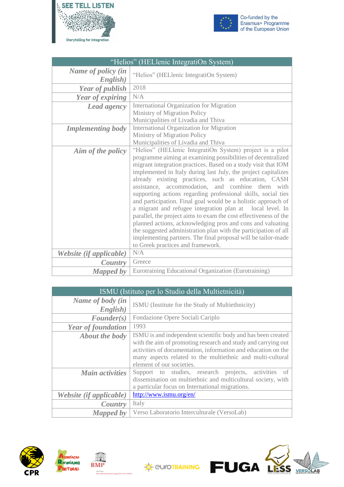



| "Helios" (HELlenic IntegratiOn System) |                                                                                                                                                                                                                                                                                                                                                                                                                                                                                                                                                                                                                                                                                                                                                                                                                                                                                    |
|----------------------------------------|------------------------------------------------------------------------------------------------------------------------------------------------------------------------------------------------------------------------------------------------------------------------------------------------------------------------------------------------------------------------------------------------------------------------------------------------------------------------------------------------------------------------------------------------------------------------------------------------------------------------------------------------------------------------------------------------------------------------------------------------------------------------------------------------------------------------------------------------------------------------------------|
| Name of policy (in<br>English)         | "Helios" (HELlenic IntegratiOn System)                                                                                                                                                                                                                                                                                                                                                                                                                                                                                                                                                                                                                                                                                                                                                                                                                                             |
| <b>Year of publish</b>                 | 2018                                                                                                                                                                                                                                                                                                                                                                                                                                                                                                                                                                                                                                                                                                                                                                                                                                                                               |
| Year of expiring                       | N/A                                                                                                                                                                                                                                                                                                                                                                                                                                                                                                                                                                                                                                                                                                                                                                                                                                                                                |
| <b>Lead agency</b>                     | International Organization for Migration<br>Ministry of Migration Policy<br>Municipalities of Livadia and Thiva                                                                                                                                                                                                                                                                                                                                                                                                                                                                                                                                                                                                                                                                                                                                                                    |
| <b>Implementing body</b>               | <b>International Organization for Migration</b><br>Ministry of Migration Policy<br>Municipalities of Livadia and Thiva                                                                                                                                                                                                                                                                                                                                                                                                                                                                                                                                                                                                                                                                                                                                                             |
| Aim of the policy                      | "Helios" (HELlenic IntegratiOn System) project is a pilot<br>programme aiming at examining possibilities of decentralized<br>migrant integration practices. Based on a study visit that IOM<br>implemented in Italy during last July, the project capitalizes<br>already existing practices, such as education, CASH<br>assistance, accommodation, and combine them with<br>supporting actions regarding professional skills, social ties<br>and participation. Final goal would be a holistic approach of<br>a migrant and refugee integration plan at local level. In<br>parallel, the project aims to exam the cost effectiveness of the<br>planned actions, acknowledging pros and cons and valuating<br>the suggested administration plan with the participation of all<br>implementing partners. The final proposal will be tailor-made<br>to Greek practices and framework. |
| Website (if applicable)                | N/A                                                                                                                                                                                                                                                                                                                                                                                                                                                                                                                                                                                                                                                                                                                                                                                                                                                                                |
| Country                                | Greece                                                                                                                                                                                                                                                                                                                                                                                                                                                                                                                                                                                                                                                                                                                                                                                                                                                                             |
| <b>Mapped by</b>                       | Eurotraining Educational Organization (Eurotraining)                                                                                                                                                                                                                                                                                                                                                                                                                                                                                                                                                                                                                                                                                                                                                                                                                               |

| <b>ISMU</b> (Istituto per lo Studio della Multietnicità) |                                                                                                                                                                                                                                                                                           |
|----------------------------------------------------------|-------------------------------------------------------------------------------------------------------------------------------------------------------------------------------------------------------------------------------------------------------------------------------------------|
| Name of body (in<br>English)                             | ISMU (Institute for the Study of Multiethnicity)                                                                                                                                                                                                                                          |
| $\textit{Founder}(s)$                                    | Fondazione Opere Sociali Cariplo                                                                                                                                                                                                                                                          |
| <b>Year of foundation</b>                                | 1993                                                                                                                                                                                                                                                                                      |
| <b>About the body</b>                                    | ISMU is and independent scientific body and has been created<br>with the aim of promoting research and study and carrying out<br>activities of documentation, information and education on the<br>many aspects related to the multiethnic and multi-cultural<br>element of our societies. |
| <b>Main activities</b>                                   | Support to studies, research projects, activities<br>of<br>dissemination on multiethnic and multicultural society, with<br>a particular focus on International migrations.                                                                                                                |
| Website (if applicable)                                  | http://www.ismu.org/en/                                                                                                                                                                                                                                                                   |
| Country                                                  | Italy                                                                                                                                                                                                                                                                                     |
| Mapped by                                                | Verso Laboratorio Interculturale (VersoLab)                                                                                                                                                                                                                                               |





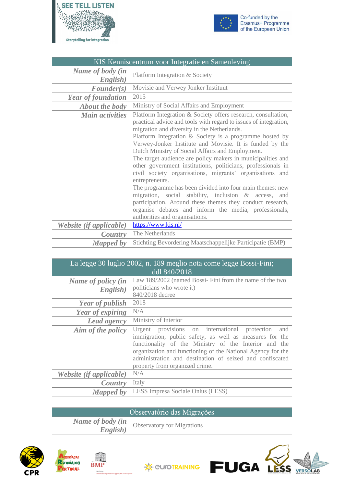



| KIS Kenniscentrum voor Integratie en Samenleving |                                                                                                                                                                                                                                                                                                                                                                                                                                                                                                                                                                                                                                                                                                                                                                                                                                                         |
|--------------------------------------------------|---------------------------------------------------------------------------------------------------------------------------------------------------------------------------------------------------------------------------------------------------------------------------------------------------------------------------------------------------------------------------------------------------------------------------------------------------------------------------------------------------------------------------------------------------------------------------------------------------------------------------------------------------------------------------------------------------------------------------------------------------------------------------------------------------------------------------------------------------------|
| Name of body (in<br>English)                     | Platform Integration & Society                                                                                                                                                                                                                                                                                                                                                                                                                                                                                                                                                                                                                                                                                                                                                                                                                          |
| $\textit{Founder}(s)$                            | Movisie and Verwey Jonker Instituut                                                                                                                                                                                                                                                                                                                                                                                                                                                                                                                                                                                                                                                                                                                                                                                                                     |
| <b>Year of foundation</b>                        | 2015                                                                                                                                                                                                                                                                                                                                                                                                                                                                                                                                                                                                                                                                                                                                                                                                                                                    |
| <b>About the body</b>                            | Ministry of Social Affairs and Employment                                                                                                                                                                                                                                                                                                                                                                                                                                                                                                                                                                                                                                                                                                                                                                                                               |
| <b>Main activities</b>                           | Platform Integration & Society offers research, consultation,<br>practical advice and tools with regard to issues of integration,<br>migration and diversity in the Netherlands.<br>Platform Integration $&$ Society is a programme hosted by<br>Verwey-Jonker Institute and Movisie. It is funded by the<br>Dutch Ministry of Social Affairs and Employment.<br>The target audience are policy makers in municipalities and<br>other government institutions, politicians, professionals in<br>civil society organisations, migrants' organisations and<br>entrepreneurs.<br>The programme has been divided into four main themes: new<br>migration, social stability, inclusion & access, and<br>participation. Around these themes they conduct research,<br>organise debates and inform the media, professionals,<br>authorities and organisations. |
| Website (if applicable)                          | https://www.kis.nl/                                                                                                                                                                                                                                                                                                                                                                                                                                                                                                                                                                                                                                                                                                                                                                                                                                     |
| Country                                          | The Netherlands                                                                                                                                                                                                                                                                                                                                                                                                                                                                                                                                                                                                                                                                                                                                                                                                                                         |
| <b>Mapped by</b>                                 | Stichting Bevordering Maatschappelijke Participatie (BMP)                                                                                                                                                                                                                                                                                                                                                                                                                                                                                                                                                                                                                                                                                                                                                                                               |

| La legge 30 luglio 2002, n. 189 meglio nota come legge Bossi-Fini;<br>ddl 840/2018 |                                                                                                                                                                                                                                                                                                                                       |
|------------------------------------------------------------------------------------|---------------------------------------------------------------------------------------------------------------------------------------------------------------------------------------------------------------------------------------------------------------------------------------------------------------------------------------|
| Name of policy (in<br>English)                                                     | Law 189/2002 (named Bossi-Fini from the name of the two<br>politicians who wrote it)<br>840/2018 decree                                                                                                                                                                                                                               |
| <b>Year of publish</b>                                                             | 2018                                                                                                                                                                                                                                                                                                                                  |
| Year of expiring                                                                   | N/A                                                                                                                                                                                                                                                                                                                                   |
| Lead agency                                                                        | Ministry of Interior                                                                                                                                                                                                                                                                                                                  |
| Aim of the policy                                                                  | Urgent provisions on international protection<br>and<br>immigration, public safety, as well as measures for the<br>functionality of the Ministry of the Interior and the<br>organization and functioning of the National Agency for the<br>administration and destination of seized and confiscated<br>property from organized crime. |
| Website (if applicable)                                                            | N/A                                                                                                                                                                                                                                                                                                                                   |
| Country                                                                            | Italy                                                                                                                                                                                                                                                                                                                                 |
| <b>Mapped by</b>                                                                   | LESS Impresa Sociale Onlus (LESS)                                                                                                                                                                                                                                                                                                     |

| Observatório das Migrações |                                                      |
|----------------------------|------------------------------------------------------|
| English)                   | <i>Name of body (in   Observatory for Migrations</i> |







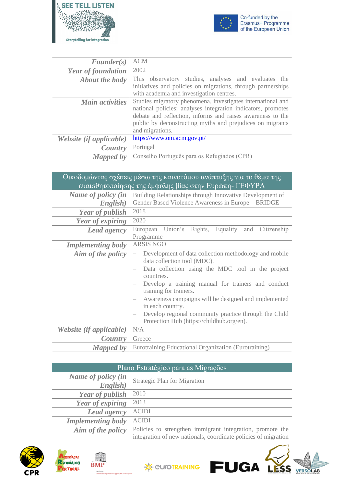



| $\textit{Founder}(s)$     | <b>ACM</b>                                                   |
|---------------------------|--------------------------------------------------------------|
| <b>Year of foundation</b> | 2002                                                         |
| About the body            | This observatory studies, analyses and evaluates the         |
|                           | initiatives and policies on migrations, through partnerships |
|                           | with academia and investigation centres.                     |
| <b>Main activities</b>    | Studies migratory phenomena, investigates international and  |
|                           | national policies; analyses integration indicators, promotes |
|                           | debate and reflection, informs and raises awareness to the   |
|                           | public by deconstructing myths and prejudices on migrants    |
|                           | and migrations.                                              |
| Website (if applicable)   | https://www.om.acm.gov.pt/                                   |
| Country                   | Portugal                                                     |
| <b>Mapped by</b>          | Conselho Português para os Refugiados (CPR)                  |

| Οικοδομώντας σχέσεις μέσω της καινοτόμου ανάπτυξης για το θέμα της<br>ευαισθητοποίησης της έμφυλης βίας στην Ευρώπη- ΓΕΦΥΡΑ |                                                                                                                                                                                                                                                                                                                                                                                                                           |
|-----------------------------------------------------------------------------------------------------------------------------|---------------------------------------------------------------------------------------------------------------------------------------------------------------------------------------------------------------------------------------------------------------------------------------------------------------------------------------------------------------------------------------------------------------------------|
| Name of policy (in<br>English)                                                                                              | Building Relationships through Innovative Development of<br>Gender Based Violence Awareness in Europe - BRIDGE                                                                                                                                                                                                                                                                                                            |
| <b>Year of publish</b>                                                                                                      | 2018                                                                                                                                                                                                                                                                                                                                                                                                                      |
| Year of expiring                                                                                                            | 2020                                                                                                                                                                                                                                                                                                                                                                                                                      |
| <b>Lead agency</b>                                                                                                          | European Union's Rights, Equality<br>and Citizenship<br>Programme                                                                                                                                                                                                                                                                                                                                                         |
| <b>Implementing body</b>                                                                                                    | <b>ARSIS NGO</b>                                                                                                                                                                                                                                                                                                                                                                                                          |
| Aim of the policy                                                                                                           | Development of data collection methodology and mobile<br>data collection tool (MDC).<br>Data collection using the MDC tool in the project<br>countries.<br>Develop a training manual for trainers and conduct<br>training for trainers.<br>Awareness campaigns will be designed and implemented<br>in each country.<br>Develop regional community practice through the Child<br>Protection Hub (https://childhub.org/en). |
| Website (if applicable)                                                                                                     | N/A                                                                                                                                                                                                                                                                                                                                                                                                                       |
| <i>Country</i>                                                                                                              | Greece                                                                                                                                                                                                                                                                                                                                                                                                                    |
| <b>Mapped by</b>                                                                                                            | Eurotraining Educational Organization (Eurotraining)                                                                                                                                                                                                                                                                                                                                                                      |

| Plano Estratégico para as Migrações |                                                                |
|-------------------------------------|----------------------------------------------------------------|
| Name of policy (in                  | <b>Strategic Plan for Migration</b>                            |
| English)                            |                                                                |
| Year of publish                     | 2010                                                           |
| Year of expiring                    | 2013                                                           |
| Lead agency                         | <b>ACIDI</b>                                                   |
| <b>Implementing body</b>            | <b>ACIDI</b>                                                   |
| Aim of the policy                   | Policies to strengthen immigrant integration, promote the      |
|                                     | integration of new nationals, coordinate policies of migration |







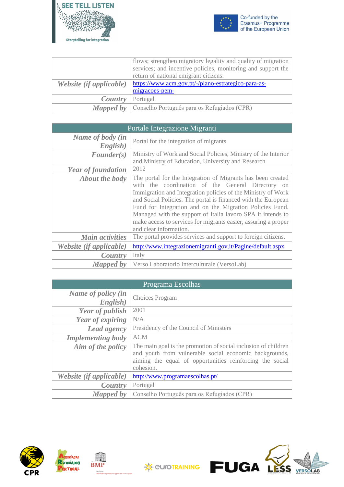



|                         | flows; strengthen migratory legality and quality of migration |
|-------------------------|---------------------------------------------------------------|
|                         | services; and incentive policies, monitoring and support the  |
|                         | return of national emigrant citizens.                         |
| Website (if applicable) | https://www.acm.gov.pt/-/plano-estrategico-para-as-           |
|                         | migracoes-pem-                                                |
| Country                 | Portugal                                                      |
| Mapped by               | Conselho Português para os Refugiados (CPR)                   |

| Portale Integrazione Migranti |                                                                                                                                                                                                                                                                                                                                                                                                                                                                          |
|-------------------------------|--------------------------------------------------------------------------------------------------------------------------------------------------------------------------------------------------------------------------------------------------------------------------------------------------------------------------------------------------------------------------------------------------------------------------------------------------------------------------|
| Name of body (in<br>English)  | Portal for the integration of migrants                                                                                                                                                                                                                                                                                                                                                                                                                                   |
| $\textit{Founder}(s)$         | Ministry of Work and Social Policies, Ministry of the Interior<br>and Ministry of Education, University and Research                                                                                                                                                                                                                                                                                                                                                     |
| <b>Year of foundation</b>     | 2012                                                                                                                                                                                                                                                                                                                                                                                                                                                                     |
| <b>About the body</b>         | The portal for the Integration of Migrants has been created<br>with the coordination of the General Directory on<br>Immigration and Integration policies of the Ministry of Work<br>and Social Policies. The portal is financed with the European<br>Fund for Integration and on the Migration Policies Fund.<br>Managed with the support of Italia lavoro SPA it intends to<br>make access to services for migrants easier, assuring a proper<br>and clear information. |
| <b>Main activities</b>        | The portal provides services and support to foreign citizens.                                                                                                                                                                                                                                                                                                                                                                                                            |
| Website (if applicable)       | http://www.integrazionemigranti.gov.it/Pagine/default.aspx                                                                                                                                                                                                                                                                                                                                                                                                               |
| Country                       | Italy                                                                                                                                                                                                                                                                                                                                                                                                                                                                    |
| Mapped by                     | Verso Laboratorio Interculturale (VersoLab)                                                                                                                                                                                                                                                                                                                                                                                                                              |

| Programa Escolhas              |                                                                                                                                                                                                   |
|--------------------------------|---------------------------------------------------------------------------------------------------------------------------------------------------------------------------------------------------|
| Name of policy (in<br>English) | Choices Program                                                                                                                                                                                   |
| <b>Year of publish</b>         | 2001                                                                                                                                                                                              |
| Year of expiring               | N/A                                                                                                                                                                                               |
| <b>Lead agency</b>             | Presidency of the Council of Ministers                                                                                                                                                            |
| <b>Implementing body</b>       | <b>ACM</b>                                                                                                                                                                                        |
| Aim of the policy              | The main goal is the promotion of social inclusion of children<br>and youth from vulnerable social economic backgrounds,<br>aiming the equal of opportunities reinforcing the social<br>cohesion. |
| Website (if applicable)        | http://www.programaescolhas.pt/                                                                                                                                                                   |
| Country                        | Portugal                                                                                                                                                                                          |
| <b>Mapped</b> by               | Conselho Português para os Refugiados (CPR)                                                                                                                                                       |





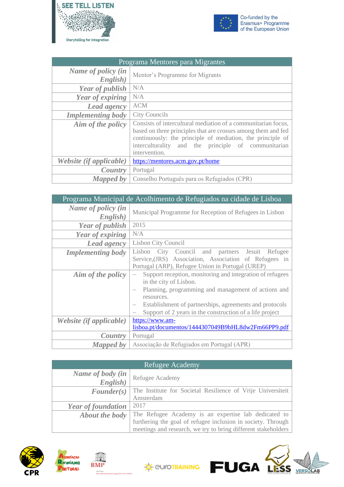



| Programa Mentores para Migrantes |                                                                                                                                                                                                                                                                      |
|----------------------------------|----------------------------------------------------------------------------------------------------------------------------------------------------------------------------------------------------------------------------------------------------------------------|
| Name of policy (in<br>English)   | Mentor's Programme for Migrants                                                                                                                                                                                                                                      |
| Year of publish                  | N/A                                                                                                                                                                                                                                                                  |
| Year of expiring                 | N/A                                                                                                                                                                                                                                                                  |
| <b>Lead agency</b>               | <b>ACM</b>                                                                                                                                                                                                                                                           |
| <b>Implementing body</b>         | <b>City Councils</b>                                                                                                                                                                                                                                                 |
| Aim of the policy                | Consists of intercultural mediation of a communitarian focus,<br>based on three principles that are crosses among them and fed<br>continuously: the principle of mediation, the principle of<br>interculturality and the principle of communitarian<br>intervention. |
| Website (if applicable)          | https://mentores.acm.gov.pt/home                                                                                                                                                                                                                                     |
| Country                          | Portugal                                                                                                                                                                                                                                                             |
| <b>Mapped by</b>                 | Conselho Português para os Refugiados (CPR)                                                                                                                                                                                                                          |

| Programa Municipal de Acolhimento de Refugiados na cidade de Lisboa |                                                                                                                                                                                                                                                                                 |
|---------------------------------------------------------------------|---------------------------------------------------------------------------------------------------------------------------------------------------------------------------------------------------------------------------------------------------------------------------------|
| Name of policy (in<br>English)                                      | Municipal Programme for Reception of Refugees in Lisbon                                                                                                                                                                                                                         |
| <b>Year of publish</b>                                              | 2015                                                                                                                                                                                                                                                                            |
| Year of expiring                                                    | N/A                                                                                                                                                                                                                                                                             |
| Lead agency                                                         | <b>Lisbon City Council</b>                                                                                                                                                                                                                                                      |
| <b>Implementing body</b>                                            | City Council and partners Jesuit Refugee<br>Lisbon<br>Service, (JRS) Association, Association of Refugees in<br>Portugal (ARP), Refugee Union in Portugal (UREP)                                                                                                                |
| Aim of the policy                                                   | Support reception, monitoring and integration of refugees<br>in the city of Lisbon.<br>Planning, programming and management of actions and<br>resources.<br>Establishment of partnerships, agreements and protocols<br>Support of 2 years in the construction of a life project |
| Website (if applicable)                                             | https://www.am-<br>lisboa.pt/documentos/1444307049B9bHL8dw2Fm66PP9.pdf                                                                                                                                                                                                          |
| Country                                                             | Portugal                                                                                                                                                                                                                                                                        |
| <b>Mapped by</b>                                                    | Associação de Refugiados em Portugal (APR)                                                                                                                                                                                                                                      |

| <b>Refugee Academy</b>    |                                                               |
|---------------------------|---------------------------------------------------------------|
| Name of body (in          | Refugee Academy                                               |
| English)                  |                                                               |
| $\textit{Founder}(s)$     | The Institute for Societal Resilience of Vrije Universiteit   |
|                           | Amsterdam                                                     |
| <b>Year of foundation</b> | 2017                                                          |
| <b>About the body</b>     | The Refugee Academy is an expertise lab dedicated to          |
|                           | furthering the goal of refugee inclusion in society. Through  |
|                           | meetings and research, we try to bring different stakeholders |





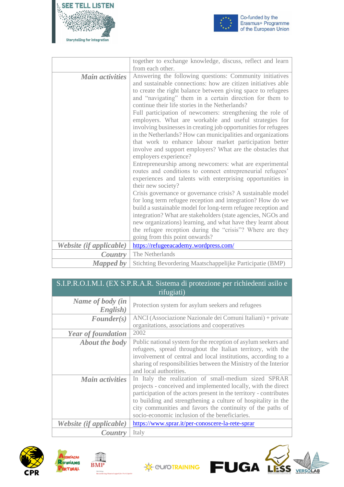



|                         | together to exchange knowledge, discuss, reflect and learn                                                                                                                                                                                                                                                                                                                                                                                                                                                                                                                                                                                                                                                                                                                                                                                                                                                                                                                                                                                                                                                                                                                                                                                                       |
|-------------------------|------------------------------------------------------------------------------------------------------------------------------------------------------------------------------------------------------------------------------------------------------------------------------------------------------------------------------------------------------------------------------------------------------------------------------------------------------------------------------------------------------------------------------------------------------------------------------------------------------------------------------------------------------------------------------------------------------------------------------------------------------------------------------------------------------------------------------------------------------------------------------------------------------------------------------------------------------------------------------------------------------------------------------------------------------------------------------------------------------------------------------------------------------------------------------------------------------------------------------------------------------------------|
|                         | from each other.                                                                                                                                                                                                                                                                                                                                                                                                                                                                                                                                                                                                                                                                                                                                                                                                                                                                                                                                                                                                                                                                                                                                                                                                                                                 |
| <b>Main activities</b>  | Answering the following questions: Community initiatives<br>and sustainable connections: how are citizen initiatives able<br>to create the right balance between giving space to refugees<br>and "navigating" them in a certain direction for them to<br>continue their life stories in the Netherlands?<br>Full participation of newcomers: strengthening the role of<br>employers. What are workable and useful strategies for<br>involving businesses in creating job opportunities for refugees<br>in the Netherlands? How can municipalities and organizations<br>that work to enhance labour market participation better<br>involve and support employers? What are the obstacles that<br>employers experience?<br>Entrepreneurship among newcomers: what are experimental<br>routes and conditions to connect entrepreneurial refugees'<br>experiences and talents with enterprising opportunities in<br>their new society?<br>Crisis governance or governance crisis? A sustainable model<br>for long term refugee reception and integration? How do we<br>build a sustainable model for long-term refugee reception and<br>integration? What are stakeholders (state agencies, NGOs and<br>new organizations) learning, and what have they learnt about |
|                         | the refugee reception during the "crisis"? Where are they<br>going from this point onwards?                                                                                                                                                                                                                                                                                                                                                                                                                                                                                                                                                                                                                                                                                                                                                                                                                                                                                                                                                                                                                                                                                                                                                                      |
| Website (if applicable) | https://refugeeacademy.wordpress.com/                                                                                                                                                                                                                                                                                                                                                                                                                                                                                                                                                                                                                                                                                                                                                                                                                                                                                                                                                                                                                                                                                                                                                                                                                            |
| Country                 | The Netherlands                                                                                                                                                                                                                                                                                                                                                                                                                                                                                                                                                                                                                                                                                                                                                                                                                                                                                                                                                                                                                                                                                                                                                                                                                                                  |
| <b>Mapped by</b>        | Stichting Bevordering Maatschappelijke Participatie (BMP)                                                                                                                                                                                                                                                                                                                                                                                                                                                                                                                                                                                                                                                                                                                                                                                                                                                                                                                                                                                                                                                                                                                                                                                                        |

### S.I.P.R.O.I.M.I. (EX S.P.R.A.R. Sistema di protezione per richiedenti asilo e rifugiati)

| Name of body (in<br>English) | Protection system for asylum seekers and refugees                                                                                                                                                                                                                                                                                                                            |
|------------------------------|------------------------------------------------------------------------------------------------------------------------------------------------------------------------------------------------------------------------------------------------------------------------------------------------------------------------------------------------------------------------------|
| $\textit{Founder}(s)$        | ANCI (Associazione Nazionale dei Comuni Italiani) + private                                                                                                                                                                                                                                                                                                                  |
|                              | organitations, associations and cooperatives                                                                                                                                                                                                                                                                                                                                 |
| <b>Year of foundation</b>    | 2002                                                                                                                                                                                                                                                                                                                                                                         |
| <b>About the body</b>        | Public national system for the reception of asylum seekers and                                                                                                                                                                                                                                                                                                               |
|                              | refugees, spread throughout the Italian territory, with the                                                                                                                                                                                                                                                                                                                  |
|                              | involvement of central and local institutions, according to a                                                                                                                                                                                                                                                                                                                |
|                              | sharing of responsibilities between the Ministry of the Interior                                                                                                                                                                                                                                                                                                             |
|                              | and local authorities.                                                                                                                                                                                                                                                                                                                                                       |
| <b>Main activities</b>       | In Italy the realization of small-medium sized SPRAR<br>projects - conceived and implemented locally, with the direct<br>participation of the actors present in the territory - contributes<br>to building and strengthening a culture of hospitality in the<br>city communities and favors the continuity of the paths of<br>socio-economic inclusion of the beneficiaries. |
| Website (if applicable)      | https://www.sprar.it/per-conoscere-la-rete-sprar                                                                                                                                                                                                                                                                                                                             |
| Country                      | Italy                                                                                                                                                                                                                                                                                                                                                                        |







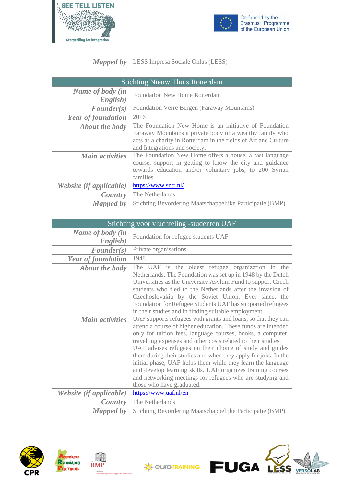



### *Mapped by* LESS Impresa Sociale Onlus (LESS)

| <b>Stichting Nieuw Thuis Rotterdam</b>          |                                                                                                                                                                                                                                                                                                                                                                                                         |
|-------------------------------------------------|---------------------------------------------------------------------------------------------------------------------------------------------------------------------------------------------------------------------------------------------------------------------------------------------------------------------------------------------------------------------------------------------------------|
| Name of body (in<br>English)                    | <b>Foundation New Home Rotterdam</b>                                                                                                                                                                                                                                                                                                                                                                    |
| $\textit{Founder}(s)$                           | Foundation Verre Bergen (Faraway Mountains)                                                                                                                                                                                                                                                                                                                                                             |
| <b>Year of foundation</b>                       | 2016                                                                                                                                                                                                                                                                                                                                                                                                    |
| <b>About the body</b><br><b>Main activities</b> | The Foundation New Home is an initiative of Foundation<br>Faraway Mountains a private body of a wealthy family who<br>acts as a charity in Rotterdam in the fields of Art and Culture<br>and Integrations and society.<br>The Foundation New Home offers a house, a fast language<br>course, support in getting to know the city and guidance<br>towards education and/or voluntary jobs, to 200 Syrian |
| Website (if applicable)                         | families.<br>https://www.sntr.nl/                                                                                                                                                                                                                                                                                                                                                                       |
| Country                                         | The Netherlands                                                                                                                                                                                                                                                                                                                                                                                         |
| <b>Mapped</b> by                                | Stichting Bevordering Maatschappelijke Participatie (BMP)                                                                                                                                                                                                                                                                                                                                               |

| Stichting voor vluchteling -studenten UAF |                                                                                                                                                                                                                                                                                                                                                                                                                                                                                                                                                                                                                      |
|-------------------------------------------|----------------------------------------------------------------------------------------------------------------------------------------------------------------------------------------------------------------------------------------------------------------------------------------------------------------------------------------------------------------------------------------------------------------------------------------------------------------------------------------------------------------------------------------------------------------------------------------------------------------------|
| Name of body (in<br>English)              | Foundation for refugee students UAF                                                                                                                                                                                                                                                                                                                                                                                                                                                                                                                                                                                  |
| $\textit{Founder}(s)$                     | Private organisations                                                                                                                                                                                                                                                                                                                                                                                                                                                                                                                                                                                                |
| <b>Year of foundation</b>                 | 1948                                                                                                                                                                                                                                                                                                                                                                                                                                                                                                                                                                                                                 |
| <b>About the body</b>                     | The UAF is the oldest refugee organization in the<br>Netherlands. The Foundation was set up in 1948 by the Dutch<br>Universities as the University Asylum Fund to support Czech<br>students who fled to the Netherlands after the invasion of<br>Czechoslovakia by the Soviet Union. Ever since, the<br>Foundation for Refugee Students UAF has supported refugees<br>in their studies and in finding suitable employment.                                                                                                                                                                                           |
| <b>Main activities</b>                    | UAF supports refugees with grants and loans, so that they can<br>attend a course of higher education. These funds are intended<br>only for tuition fees, language courses, books, a computer,<br>travelling expenses and other costs related to their studies.<br>UAF advises refugees on their choice of study and guides<br>them during their studies and when they apply for jobs. In the<br>initial phase, UAF helps them while they learn the language<br>and develop learning skills. UAF organizes training courses<br>and networking meetings for refugees who are studying and<br>those who have graduated. |
| Website (if applicable)                   | https://www.uaf.nl/en                                                                                                                                                                                                                                                                                                                                                                                                                                                                                                                                                                                                |
| Country                                   | The Netherlands                                                                                                                                                                                                                                                                                                                                                                                                                                                                                                                                                                                                      |
| <b>Mapped by</b>                          | Stichting Bevordering Maatschappelijke Participatie (BMP)                                                                                                                                                                                                                                                                                                                                                                                                                                                                                                                                                            |





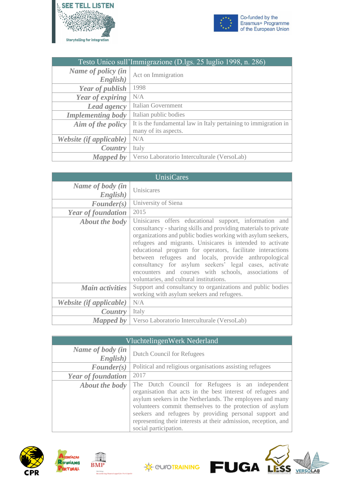



| Testo Unico sull'Immigrazione (D.lgs. 25 luglio 1998, n. 286) |                                                                 |
|---------------------------------------------------------------|-----------------------------------------------------------------|
| Name of policy (in                                            | Act on Immigration                                              |
| English)                                                      |                                                                 |
| <b>Year of publish</b>                                        | 1998                                                            |
| Year of expiring                                              | N/A                                                             |
| <b>Lead agency</b>                                            | Italian Government                                              |
| <b>Implementing body</b>                                      | Italian public bodies                                           |
| Aim of the policy                                             | It is the fundamental law in Italy pertaining to immigration in |
|                                                               | many of its aspects.                                            |
| Website (if applicable)                                       | N/A                                                             |
| Country                                                       | Italy                                                           |
| Mapped by                                                     | Verso Laboratorio Interculturale (VersoLab)                     |

| <b>UnisiCares</b>              |                                                                                                                                                                                                                                                                                                                                                                                                                                                                                                                                          |
|--------------------------------|------------------------------------------------------------------------------------------------------------------------------------------------------------------------------------------------------------------------------------------------------------------------------------------------------------------------------------------------------------------------------------------------------------------------------------------------------------------------------------------------------------------------------------------|
| Name of body (in<br>English)   | Unisicares                                                                                                                                                                                                                                                                                                                                                                                                                                                                                                                               |
| $\textit{Founder}(s)$          | University of Siena                                                                                                                                                                                                                                                                                                                                                                                                                                                                                                                      |
| <b>Year of foundation</b>      | 2015                                                                                                                                                                                                                                                                                                                                                                                                                                                                                                                                     |
| <b>About the body</b>          | Unisicares offers educational support, information and<br>consultancy - sharing skills and providing materials to private<br>organizations and public bodies working with asylum seekers,<br>refugees and migrants. Unisicares is intended to activate<br>educational program for operators, facilitate interactions<br>between refugees and locals, provide anthropological<br>consultancy for asylum seekers' legal cases, activate<br>encounters and courses with schools, associations of<br>voluntaries, and cultural institutions. |
| <b>Main activities</b>         | Support and consultancy to organizations and public bodies<br>working with asylum seekers and refugees.                                                                                                                                                                                                                                                                                                                                                                                                                                  |
| <i>Website (if applicable)</i> | N/A                                                                                                                                                                                                                                                                                                                                                                                                                                                                                                                                      |
| Country                        | Italy                                                                                                                                                                                                                                                                                                                                                                                                                                                                                                                                    |
| Mapped by                      | Verso Laboratorio Interculturale (VersoLab)                                                                                                                                                                                                                                                                                                                                                                                                                                                                                              |

|                              | VluchtelingenWerk Nederland                                                                                                                                                                                                                                                                                                                                                                    |
|------------------------------|------------------------------------------------------------------------------------------------------------------------------------------------------------------------------------------------------------------------------------------------------------------------------------------------------------------------------------------------------------------------------------------------|
| Name of body (in<br>English) | Dutch Council for Refugees                                                                                                                                                                                                                                                                                                                                                                     |
| $\textit{Founder}(s)$        | Political and religious organisations assisting refugees                                                                                                                                                                                                                                                                                                                                       |
| <b>Year of foundation</b>    | 2017                                                                                                                                                                                                                                                                                                                                                                                           |
| <b>About the body</b>        | The Dutch Council for Refugees is an independent<br>organisation that acts in the best interest of refugees and<br>asylum seekers in the Netherlands. The employees and many<br>volunteers commit themselves to the protection of asylum<br>seekers and refugees by providing personal support and<br>representing their interests at their admission, reception, and<br>social participation. |





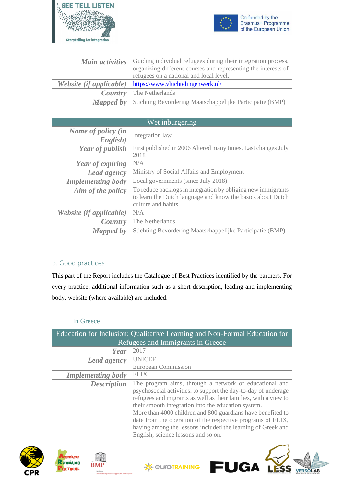



| <b>Main activities</b>  | Guiding individual refugees during their integration process,<br>organizing different courses and representing the interests of<br>refugees on a national and local level. |
|-------------------------|----------------------------------------------------------------------------------------------------------------------------------------------------------------------------|
| Website (if applicable) | https://www.vluchtelingenwerk.nl/                                                                                                                                          |
|                         | <b>Country</b> The Netherlands                                                                                                                                             |
| Mapped by               | Stichting Bevordering Maatschappelijke Participatie (BMP)                                                                                                                  |

| Wet inburgering                |                                                                                                                                                    |
|--------------------------------|----------------------------------------------------------------------------------------------------------------------------------------------------|
| Name of policy (in<br>English) | Integration law                                                                                                                                    |
| <b>Year of publish</b>         | First published in 2006 Altered many times. Last changes July<br>2018                                                                              |
| Year of expiring               | N/A                                                                                                                                                |
| Lead agency                    | Ministry of Social Affairs and Employment                                                                                                          |
| <b>Implementing body</b>       | Local governments (since July 2018)                                                                                                                |
| Aim of the policy              | To reduce backlogs in integration by obliging new immigrants<br>to learn the Dutch language and know the basics about Dutch<br>culture and habits. |
| <i>Website (if applicable)</i> | N/A                                                                                                                                                |
| Country                        | The Netherlands                                                                                                                                    |
| <b>Mapped by</b>               | Stichting Bevordering Maatschappelijke Participatie (BMP)                                                                                          |

### <span id="page-18-0"></span>b. Good practices

This part of the Report includes the Catalogue of Best Practices identified by the partners. For every practice, additional information such as a short description, leading and implementing body, website (where available) are included.

#### In Greece

<span id="page-18-1"></span>

|                          | Education for Inclusion: Qualitative Learning and Non-Formal Education for |
|--------------------------|----------------------------------------------------------------------------|
|                          | Refugees and Immigrants in Greece                                          |
| Year                     | 2017                                                                       |
| Lead agency              | <b>UNICEF</b>                                                              |
|                          | <b>European Commission</b>                                                 |
| <b>Implementing body</b> | <b>ELIX</b>                                                                |
| <b>Description</b>       | The program aims, through a network of educational and                     |
|                          | psychosocial activities, to support the day-to-day of underage             |
|                          | refugees and migrants as well as their families, with a view to            |
|                          | their smooth integration into the education system.                        |
|                          | More than 4000 children and 800 guardians have benefited to                |
|                          | date from the operation of the respective programs of ELIX,                |
|                          | having among the lessons included the learning of Greek and                |
|                          | English, science lessons and so on.                                        |







**FUGA**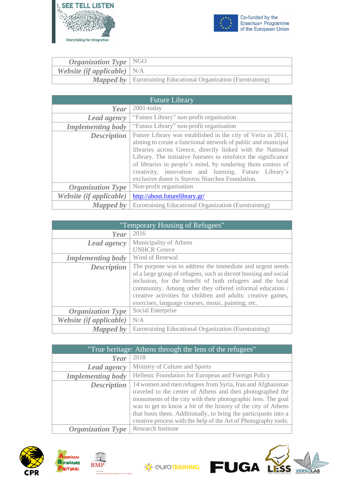



| <i>Organization Type</i>   $NGO$     |                                                                         |
|--------------------------------------|-------------------------------------------------------------------------|
| <b>Website (if applicable)</b> $N/A$ |                                                                         |
|                                      | <b>Mapped by</b>   Eurotraining Educational Organization (Eurotraining) |

|                          | <b>Future Library</b>                                                                                                                                                                                                                                                                                                                                                                                                                    |
|--------------------------|------------------------------------------------------------------------------------------------------------------------------------------------------------------------------------------------------------------------------------------------------------------------------------------------------------------------------------------------------------------------------------------------------------------------------------------|
| Year                     | $2001$ -today                                                                                                                                                                                                                                                                                                                                                                                                                            |
| <b>Lead agency</b>       | "Future Library" non-profit organisation                                                                                                                                                                                                                                                                                                                                                                                                 |
| <b>Implementing body</b> | "Future Library" non-profit organisation                                                                                                                                                                                                                                                                                                                                                                                                 |
| <b>Description</b>       | Future Library was established in the city of Veria in 2011,<br>aiming to create a functional network of public and municipal<br>libraries across Greece, directly linked with the National<br>Library. The initiative foresees to reinforce the significance<br>of libraries in people's mind, by rendering them centres of<br>creativity, innovation and learning. Future Library's<br>exclusive donor is Stavros Niarchos Foundation. |
| <b>Organization Type</b> | Non-profit organisation                                                                                                                                                                                                                                                                                                                                                                                                                  |
| Website (if applicable)  | http://about.futurelibrary.gr/                                                                                                                                                                                                                                                                                                                                                                                                           |
| <b>Mapped by</b>         | Eurotraining Educational Organization (Eurotraining)                                                                                                                                                                                                                                                                                                                                                                                     |

| "Temporary Housing of Refugees" |                                                                                                                                                                                                                                                                                                                                                                             |
|---------------------------------|-----------------------------------------------------------------------------------------------------------------------------------------------------------------------------------------------------------------------------------------------------------------------------------------------------------------------------------------------------------------------------|
| Year                            | 2016                                                                                                                                                                                                                                                                                                                                                                        |
| <b>Lead agency</b>              | Municipality of Athens                                                                                                                                                                                                                                                                                                                                                      |
|                                 | <b>UNHCR</b> Greece                                                                                                                                                                                                                                                                                                                                                         |
| <b>Implementing body</b>        | Wind of Renewal                                                                                                                                                                                                                                                                                                                                                             |
| <b>Description</b>              | The purpose was to address the immediate and urgent needs<br>of a large group of refugees, such as decent housing and social<br>inclusion, for the benefit of both refugees and the local<br>community. Among other they offered informal education /<br>creative activities for children and adults: creative games,<br>exercises, language courses, music, painting, etc. |
| <b>Organization Type</b>        | Social Enterprise                                                                                                                                                                                                                                                                                                                                                           |
| Website (if applicable)         | N/A                                                                                                                                                                                                                                                                                                                                                                         |
| <b>Mapped by</b>                | Eurotraining Educational Organization (Eurotraining)                                                                                                                                                                                                                                                                                                                        |

| "True heritage: Athens through the lens of the refugees" |                                                                                                                                                                                                                                                                                                                                                                                                 |
|----------------------------------------------------------|-------------------------------------------------------------------------------------------------------------------------------------------------------------------------------------------------------------------------------------------------------------------------------------------------------------------------------------------------------------------------------------------------|
| Year                                                     | 2018                                                                                                                                                                                                                                                                                                                                                                                            |
| Lead agency                                              | Ministry of Culture and Sports                                                                                                                                                                                                                                                                                                                                                                  |
| <b>Implementing body</b>                                 | Hellenic Foundation for European and Foreign Policy                                                                                                                                                                                                                                                                                                                                             |
| <b>Description</b>                                       | 14 women and men refugees from Syria, Iran and Afghanistan<br>traveled to the center of Athens and then photographed the<br>monuments of the city with their photographic lens. The goal<br>was to get to know a bit of the history of the city of Athens<br>that hosts them. Additionally, to bring the participants into a<br>creative process with the help of the Art of Photography tools. |
| <b>Organization Type</b>                                 | <b>Research Institute</b>                                                                                                                                                                                                                                                                                                                                                                       |







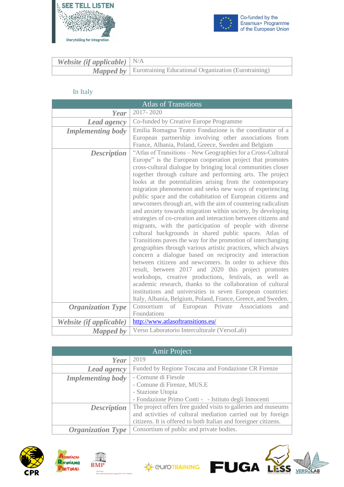



| <b>Website (if applicable)</b> $N/A$ |                                                                       |
|--------------------------------------|-----------------------------------------------------------------------|
|                                      | <b>Mapped by</b> Eurotraining Educational Organization (Eurotraining) |

### In Italy

<span id="page-20-0"></span>

|                          | <b>Atlas of Transitions</b>                                                                                                                                                                                                                                                                                                                                                                                                                                                                                                                                                                                                                                                                                                                                                                                                                                                                                                                                                                                                                                                                                                                                                                                                                                                                                                            |
|--------------------------|----------------------------------------------------------------------------------------------------------------------------------------------------------------------------------------------------------------------------------------------------------------------------------------------------------------------------------------------------------------------------------------------------------------------------------------------------------------------------------------------------------------------------------------------------------------------------------------------------------------------------------------------------------------------------------------------------------------------------------------------------------------------------------------------------------------------------------------------------------------------------------------------------------------------------------------------------------------------------------------------------------------------------------------------------------------------------------------------------------------------------------------------------------------------------------------------------------------------------------------------------------------------------------------------------------------------------------------|
| Year                     | 2017-2020                                                                                                                                                                                                                                                                                                                                                                                                                                                                                                                                                                                                                                                                                                                                                                                                                                                                                                                                                                                                                                                                                                                                                                                                                                                                                                                              |
| Lead agency              | Co-funded by Creative Europe Programme                                                                                                                                                                                                                                                                                                                                                                                                                                                                                                                                                                                                                                                                                                                                                                                                                                                                                                                                                                                                                                                                                                                                                                                                                                                                                                 |
| <b>Implementing body</b> | Emilia Romagna Teatro Fondazione is the coordinator of a<br>European partnership involving other associations from<br>France, Albania, Poland, Greece, Sweden and Belgium                                                                                                                                                                                                                                                                                                                                                                                                                                                                                                                                                                                                                                                                                                                                                                                                                                                                                                                                                                                                                                                                                                                                                              |
| <b>Description</b>       | "Atlas of Transitions - New Geographies for a Cross-Cultural<br>Europe" is the European cooperation project that promotes<br>cross-cultural dialogue by bringing local communities closer<br>together through culture and performing arts. The project<br>looks at the potentialities arising from the contemporary<br>migration phenomenon and seeks new ways of experiencing<br>public space and the cohabitation of European citizens and<br>newcomers through art, with the aim of countering radicalism<br>and anxiety towards migration within society, by developing<br>strategies of co-creation and interaction between citizens and<br>migrants, with the participation of people with diverse<br>cultural backgrounds in shared public spaces. Atlas of<br>Transitions paves the way for the promotion of interchanging<br>geographies through various artistic practices, which always<br>concern a dialogue based on reciprocity and interaction<br>between citizens and newcomers. In order to achieve this<br>result, between 2017 and 2020 this project promotes<br>workshops, creative productions, festivals, as well as<br>academic research, thanks to the collaboration of cultural<br>institutions and universities in seven European countries:<br>Italy, Albania, Belgium, Poland, France, Greece, and Sweden. |
| <b>Organization Type</b> | Consortium<br>of European<br>Private Associations<br>and                                                                                                                                                                                                                                                                                                                                                                                                                                                                                                                                                                                                                                                                                                                                                                                                                                                                                                                                                                                                                                                                                                                                                                                                                                                                               |
|                          | Foundations                                                                                                                                                                                                                                                                                                                                                                                                                                                                                                                                                                                                                                                                                                                                                                                                                                                                                                                                                                                                                                                                                                                                                                                                                                                                                                                            |
| Website (if applicable)  | http://www.atlasoftransitions.eu/                                                                                                                                                                                                                                                                                                                                                                                                                                                                                                                                                                                                                                                                                                                                                                                                                                                                                                                                                                                                                                                                                                                                                                                                                                                                                                      |
| <b>Mapped</b> by         | Verso Laboratorio Interculturale (VersoLab)                                                                                                                                                                                                                                                                                                                                                                                                                                                                                                                                                                                                                                                                                                                                                                                                                                                                                                                                                                                                                                                                                                                                                                                                                                                                                            |

| <b>Amir Project</b>      |                                                                 |
|--------------------------|-----------------------------------------------------------------|
| Year                     | 2019                                                            |
| Lead agency              | Funded by Regione Toscana and Fondazione CR Firenze             |
| <b>Implementing body</b> | - Comune di Fiesole                                             |
|                          | - Comune di Firenze, MUS.E                                      |
|                          | - Stazione Utopia                                               |
|                          | - Fondazione Primo Conti - - Istituto degli Innocenti           |
| <b>Description</b>       | The project offers free guided visits to galleries and museums  |
|                          | and activities of cultural mediation carried out by foreign     |
|                          | citizens. It is offered to both Italian and foreigner citizens. |
| <b>Organization Type</b> | Consortium of public and private bodies.                        |







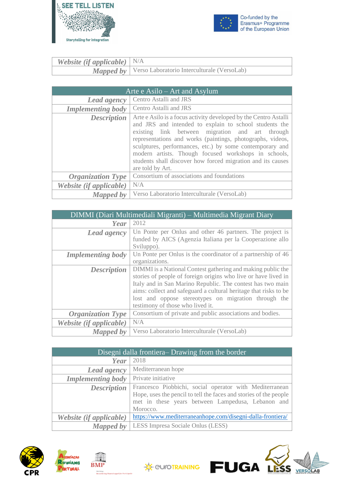



| <b>Website (if applicable)</b> $N/A$ |                                                                |
|--------------------------------------|----------------------------------------------------------------|
|                                      | <b>Mapped by</b>   Verso Laboratorio Interculturale (VersoLab) |

| Arte $e$ Asilo – Art and Asylum |                                                                                                                                                                                                                                                                                                                                                                                                                                                    |
|---------------------------------|----------------------------------------------------------------------------------------------------------------------------------------------------------------------------------------------------------------------------------------------------------------------------------------------------------------------------------------------------------------------------------------------------------------------------------------------------|
| <b>Lead agency</b>              | Centro Astalli and JRS                                                                                                                                                                                                                                                                                                                                                                                                                             |
| <b>Implementing body</b>        | Centro Astalli and JRS                                                                                                                                                                                                                                                                                                                                                                                                                             |
| <b>Description</b>              | Arte e Asilo is a focus activity developed by the Centro Astalli<br>and JRS and intended to explain to school students the<br>existing link between migration and art through<br>representations and works (paintings, photographs, videos,<br>sculptures, performances, etc.) by some contemporary and<br>modern artists. Though focused workshops in schools,<br>students shall discover how forced migration and its causes<br>are told by Art. |
| <b>Organization Type</b>        | Consortium of associations and foundations                                                                                                                                                                                                                                                                                                                                                                                                         |
| Website (if applicable)         | N/A                                                                                                                                                                                                                                                                                                                                                                                                                                                |
| <b>Mapped by</b>                | Verso Laboratorio Interculturale (VersoLab)                                                                                                                                                                                                                                                                                                                                                                                                        |

| DIMMI (Diari Multimediali Migranti) – Multimedia Migrant Diary |                                                                                                                                                                                                                                                                                                                                                             |
|----------------------------------------------------------------|-------------------------------------------------------------------------------------------------------------------------------------------------------------------------------------------------------------------------------------------------------------------------------------------------------------------------------------------------------------|
| Year                                                           | 2012                                                                                                                                                                                                                                                                                                                                                        |
| <b>Lead agency</b>                                             | Un Ponte per Onlus and other 46 partners. The project is<br>funded by AICS (Agenzia Italiana per la Cooperazione allo<br>Sviluppo).                                                                                                                                                                                                                         |
| <b>Implementing body</b>                                       | Un Ponte per Onlus is the coordinator of a partnership of 46<br>organizations.                                                                                                                                                                                                                                                                              |
| <b>Description</b>                                             | DIMMI is a National Contest gathering and making public the<br>stories of people of foreign origins who live or have lived in<br>Italy and in San Marino Republic. The contest has two main<br>aims: collect and safeguard a cultural heritage that risks to be<br>lost and oppose stereotypes on migration through the<br>testimony of those who lived it. |
| <b>Organization Type</b>                                       | Consortium of private and public associations and bodies.                                                                                                                                                                                                                                                                                                   |
| Website (if applicable)                                        | N/A                                                                                                                                                                                                                                                                                                                                                         |
| Mapped by                                                      | Verso Laboratorio Interculturale (VersoLab)                                                                                                                                                                                                                                                                                                                 |

| Disegni dalla frontiera-Drawing from the border |                                                                                                                                                                                               |
|-------------------------------------------------|-----------------------------------------------------------------------------------------------------------------------------------------------------------------------------------------------|
| Year                                            | 2018                                                                                                                                                                                          |
| Lead agency                                     | Mediterranean hope                                                                                                                                                                            |
| <b>Implementing body</b>                        | Private initiative                                                                                                                                                                            |
| <b>Description</b>                              | Francesco Piobbichi, social operator with Mediterranean<br>Hope, uses the pencil to tell the faces and stories of the people<br>met in these years between Lampedusa, Lebanon and<br>Morocco. |
| Website (if applicable)                         | https://www.mediterraneanhope.com/disegni-dalla-frontiera/                                                                                                                                    |
| Mapped by                                       | LESS Impresa Sociale Onlus (LESS)                                                                                                                                                             |





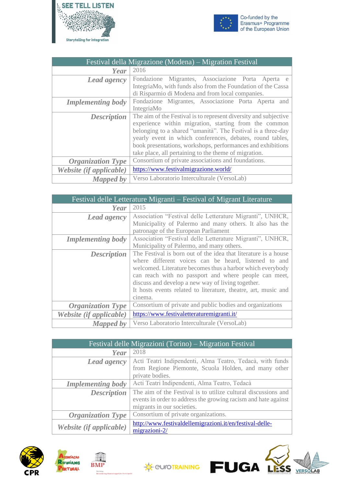



| Festival della Migrazione (Modena) – Migration Festival |                                                                  |
|---------------------------------------------------------|------------------------------------------------------------------|
| Year                                                    | 2016                                                             |
| Lead agency                                             | Fondazione Migrantes, Associazione Porta Aperta e                |
|                                                         | IntegriaMo, with funds also from the Foundation of the Cassa     |
|                                                         | di Risparmio di Modena and from local companies.                 |
| <b>Implementing body</b>                                | Fondazione Migrantes, Associazione Porta Aperta<br>and           |
|                                                         | IntegriaMo                                                       |
| <b>Description</b>                                      | The aim of the Festival is to represent diversity and subjective |
|                                                         | experience within migration, starting from the common            |
|                                                         | belonging to a shared "umanità". The Festival is a three-day     |
|                                                         | yearly event in which conferences, debates, round tables,        |
|                                                         | book presentations, workshops, performances and exhibitions      |
|                                                         | take place, all pertaining to the theme of migration.            |
| <b>Organization Type</b>                                | Consortium of private associations and foundations.              |
| Website (if applicable)                                 | https://www.festivalmigrazione.world/                            |
| <b>Mapped by</b>                                        | Verso Laboratorio Interculturale (VersoLab)                      |

| Festival delle Letterature Migranti – Festival of Migrant Literature |                                                                 |
|----------------------------------------------------------------------|-----------------------------------------------------------------|
| Year                                                                 | 2015                                                            |
| Lead agency                                                          | Association "Festival delle Letterature Migranti", UNHCR,       |
|                                                                      | Municipality of Palermo and many others. It also has the        |
|                                                                      | patronage of the European Parliament                            |
| <b>Implementing body</b>                                             | Association "Festival delle Letterature Migranti", UNHCR,       |
|                                                                      | Municipality of Palermo, and many others.                       |
| <b>Description</b>                                                   | The Festival is born out of the idea that literature is a house |
|                                                                      | where different voices can be heard, listened to and            |
|                                                                      | welcomed. Literature becomes thus a harbor which everybody      |
|                                                                      | can reach with no passport and where people can meet,           |
|                                                                      | discuss and develop a new way of living together.               |
|                                                                      | It hosts events related to literature, theatre, art, music and  |
|                                                                      | cinema.                                                         |
| <b>Organization Type</b>                                             | Consortium of private and public bodies and organizations       |
| Website (if applicable)                                              | https://www.festivaletteraturemigranti.it/                      |
| Mapped by                                                            | Verso Laboratorio Interculturale (VersoLab)                     |

| Festival delle Migrazioni (Torino) – Migration Festival |                                                                                                                                                                |
|---------------------------------------------------------|----------------------------------------------------------------------------------------------------------------------------------------------------------------|
| Year                                                    | 2018                                                                                                                                                           |
| <b>Lead agency</b>                                      | Acti Teatri Indipendenti, Alma Teatro, Tedacà, with funds<br>from Regione Piemonte, Scuola Holden, and many other<br>private bodies.                           |
| <b>Implementing body</b>                                | Acti Teatri Indipendenti, Alma Teatro, Tedacà                                                                                                                  |
| <b>Description</b>                                      | The aim of the Festival is to utilize cultural discussions and<br>events in order to address the growing racism and hate against<br>migrants in our societies. |
| <b>Organization Type</b>                                | Consortium of private organizations.                                                                                                                           |
| Website (if applicable)                                 | http://www.festivaldellemigrazioni.it/en/festival-delle-<br>migrazioni-2/                                                                                      |







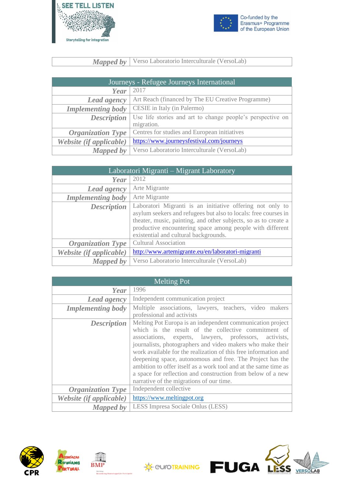



*Mapped by* Verso Laboratorio Interculturale (VersoLab)

| Journeys - Refugee Journeys International |                                                            |
|-------------------------------------------|------------------------------------------------------------|
| Year                                      | 2017                                                       |
| <b>Lead agency</b>                        | Art Reach (financed by The EU Creative Programme)          |
| <b>Implementing body</b>                  | CESIE in Italy (in Palermo)                                |
| <b>Description</b>                        | Use life stories and art to change people's perspective on |
|                                           | migration.                                                 |
| <b>Organization Type</b>                  | Centres for studies and European initiatives               |
| Website (if applicable)                   | https://www.journeysfestival.com/journeys                  |
| <b>Mapped by</b>                          | Verso Laboratorio Interculturale (VersoLab)                |

| Laboratori Migranti – Migrant Laboratory |                                                                                                                                                                                                                                                                                                       |
|------------------------------------------|-------------------------------------------------------------------------------------------------------------------------------------------------------------------------------------------------------------------------------------------------------------------------------------------------------|
| Year                                     | 2012                                                                                                                                                                                                                                                                                                  |
| <b>Lead agency</b>                       | Arte Migrante                                                                                                                                                                                                                                                                                         |
| <b>Implementing body</b>                 | Arte Migrante                                                                                                                                                                                                                                                                                         |
| <b>Description</b>                       | Laboratori Migranti is an initiative offering not only to<br>asylum seekers and refugees but also to locals: free courses in<br>theater, music, painting, and other subjects, so as to create a<br>productive encountering space among people with different<br>existential and cultural backgrounds. |
| <b>Organization Type</b>                 | <b>Cultural Association</b>                                                                                                                                                                                                                                                                           |
| Website (if applicable)                  | http://www.artemigrante.eu/en/laboratori-migranti                                                                                                                                                                                                                                                     |
| Mapped by                                | Verso Laboratorio Interculturale (VersoLab)                                                                                                                                                                                                                                                           |

| <b>Melting Pot</b>       |                                                                                                                                                                                                                                                                                                                                                                                                                                                                                                                                                         |
|--------------------------|---------------------------------------------------------------------------------------------------------------------------------------------------------------------------------------------------------------------------------------------------------------------------------------------------------------------------------------------------------------------------------------------------------------------------------------------------------------------------------------------------------------------------------------------------------|
| Year                     | 1996                                                                                                                                                                                                                                                                                                                                                                                                                                                                                                                                                    |
| <b>Lead agency</b>       | Independent communication project                                                                                                                                                                                                                                                                                                                                                                                                                                                                                                                       |
| <b>Implementing body</b> | Multiple associations, lawyers, teachers, video makers<br>professional and activists                                                                                                                                                                                                                                                                                                                                                                                                                                                                    |
| <b>Description</b>       | Melting Pot Europa is an independent communication project<br>which is the result of the collective commitment of<br>associations, experts, lawyers, professors, activists,<br>journalists, photographers and video makers who make their<br>work available for the realization of this free information and<br>deepening space, autonomous and free. The Project has the<br>ambition to offer itself as a work tool and at the same time as<br>a space for reflection and construction from below of a new<br>narrative of the migrations of our time. |
| <b>Organization Type</b> | Independent collective                                                                                                                                                                                                                                                                                                                                                                                                                                                                                                                                  |
| Website (if applicable)  | https://www.meltingpot.org                                                                                                                                                                                                                                                                                                                                                                                                                                                                                                                              |
| <b>Mapped by</b>         | LESS Impresa Sociale Onlus (LESS)                                                                                                                                                                                                                                                                                                                                                                                                                                                                                                                       |





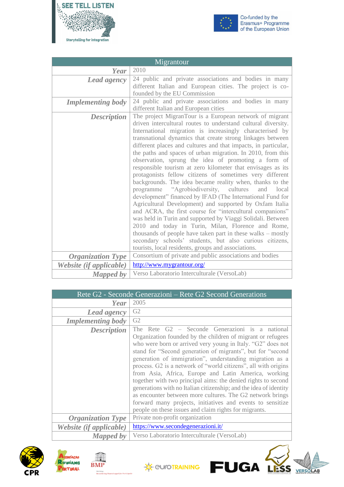



| Migrantour               |                                                                                                                                                                                                                                                                                                                                                                                                                                                                                                                                                                                                                                                                                                                                                                                                                                                                                                                                                                                                                                                                                                                                                                                        |
|--------------------------|----------------------------------------------------------------------------------------------------------------------------------------------------------------------------------------------------------------------------------------------------------------------------------------------------------------------------------------------------------------------------------------------------------------------------------------------------------------------------------------------------------------------------------------------------------------------------------------------------------------------------------------------------------------------------------------------------------------------------------------------------------------------------------------------------------------------------------------------------------------------------------------------------------------------------------------------------------------------------------------------------------------------------------------------------------------------------------------------------------------------------------------------------------------------------------------|
| Year                     | 2010                                                                                                                                                                                                                                                                                                                                                                                                                                                                                                                                                                                                                                                                                                                                                                                                                                                                                                                                                                                                                                                                                                                                                                                   |
| <b>Lead agency</b>       | 24 public and private associations and bodies in many<br>different Italian and European cities. The project is co-<br>founded by the EU Commission                                                                                                                                                                                                                                                                                                                                                                                                                                                                                                                                                                                                                                                                                                                                                                                                                                                                                                                                                                                                                                     |
| <b>Implementing body</b> | 24 public and private associations and bodies in many<br>different Italian and European cities                                                                                                                                                                                                                                                                                                                                                                                                                                                                                                                                                                                                                                                                                                                                                                                                                                                                                                                                                                                                                                                                                         |
| <b>Description</b>       | The project MigranTour is a European network of migrant<br>driven intercultural routes to understand cultural diversity.<br>International migration is increasingly characterised by<br>transnational dynamics that create strong linkages between<br>different places and cultures and that impacts, in particular,<br>the paths and spaces of urban migration. In 2010, from this<br>observation, sprung the idea of promoting a form of<br>responsible tourism at zero kilometer that envisages as its<br>protagonists fellow citizens of sometimes very different<br>backgrounds. The idea became reality when, thanks to the<br>"Agrobiodiversity, cultures"<br>programme<br>and local<br>development" financed by IFAD (The International Fund for<br>Agricultural Development) and supported by Oxfam Italia<br>and ACRA, the first course for "intercultural companions"<br>was held in Turin and supported by Viaggi Solidali. Between<br>2010 and today in Turin, Milan, Florence and Rome,<br>thousands of people have taken part in these walks – mostly<br>secondary schools' students, but also curious citizens,<br>tourists, local residents, groups and associations. |
| <b>Organization Type</b> | Consortium of private and public associations and bodies                                                                                                                                                                                                                                                                                                                                                                                                                                                                                                                                                                                                                                                                                                                                                                                                                                                                                                                                                                                                                                                                                                                               |
| Website (if applicable)  | http://www.mygrantour.org/                                                                                                                                                                                                                                                                                                                                                                                                                                                                                                                                                                                                                                                                                                                                                                                                                                                                                                                                                                                                                                                                                                                                                             |
| <b>Mapped</b> by         | Verso Laboratorio Interculturale (VersoLab)                                                                                                                                                                                                                                                                                                                                                                                                                                                                                                                                                                                                                                                                                                                                                                                                                                                                                                                                                                                                                                                                                                                                            |

| Rete G2 - Seconde Generazioni – Rete G2 Second Generations |                                                                                                                                                                                                                                                                                                                                                                                                                                                                                                                                                                                                                                                                                                                                                             |
|------------------------------------------------------------|-------------------------------------------------------------------------------------------------------------------------------------------------------------------------------------------------------------------------------------------------------------------------------------------------------------------------------------------------------------------------------------------------------------------------------------------------------------------------------------------------------------------------------------------------------------------------------------------------------------------------------------------------------------------------------------------------------------------------------------------------------------|
| Year                                                       | 2005                                                                                                                                                                                                                                                                                                                                                                                                                                                                                                                                                                                                                                                                                                                                                        |
| Lead agency                                                | G2                                                                                                                                                                                                                                                                                                                                                                                                                                                                                                                                                                                                                                                                                                                                                          |
| <b>Implementing body</b>                                   | G2                                                                                                                                                                                                                                                                                                                                                                                                                                                                                                                                                                                                                                                                                                                                                          |
| <b>Description</b>                                         | The Rete G2 – Seconde Generazioni is a national<br>Organization founded by the children of migrant or refugees<br>who were born or arrived very young in Italy. "G2" does not<br>stand for "Second generation of migrants", but for "second<br>generation of immigration", understanding migration as a<br>process. G2 is a network of "world citizens", all with origins<br>from Asia, Africa, Europe and Latin America, working<br>together with two principal aims: the denied rights to second<br>generations with no Italian citizenship; and the idea of identity<br>as encounter between more cultures. The G2 network brings<br>forward many projects, initiatives and events to sensitize<br>people on these issues and claim rights for migrants. |
| <b>Organization Type</b>                                   | Private non-profit organization                                                                                                                                                                                                                                                                                                                                                                                                                                                                                                                                                                                                                                                                                                                             |
| Website (if applicable)                                    | https://www.secondegenerazioni.it/                                                                                                                                                                                                                                                                                                                                                                                                                                                                                                                                                                                                                                                                                                                          |
| <b>Mapped</b> by                                           | Verso Laboratorio Interculturale (VersoLab)                                                                                                                                                                                                                                                                                                                                                                                                                                                                                                                                                                                                                                                                                                                 |











Ĺ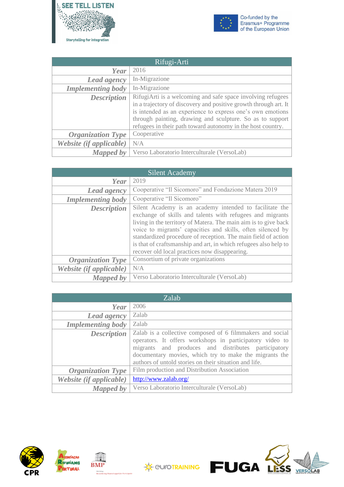



| Rifugi-Arti              |                                                                                                                                                                                        |
|--------------------------|----------------------------------------------------------------------------------------------------------------------------------------------------------------------------------------|
| Year                     | 2016                                                                                                                                                                                   |
| Lead agency              | In-Migrazione                                                                                                                                                                          |
| <b>Implementing body</b> | In-Migrazione                                                                                                                                                                          |
| <b>Description</b>       | RifugiArti is a welcoming and safe space involving refugees<br>in a trajectory of discovery and positive growth through art. It                                                        |
|                          | is intended as an experience to express one's own emotions<br>through painting, drawing and sculpture. So as to support<br>refugees in their path toward autonomy in the host country. |
| <b>Organization Type</b> | Cooperative                                                                                                                                                                            |
| Website (if applicable)  | N/A                                                                                                                                                                                    |
| Mapped by                | Verso Laboratorio Interculturale (VersoLab)                                                                                                                                            |

| <b>Silent Academy</b>    |                                                                                                                                                                                                                                                                                                                                                                                                                                              |
|--------------------------|----------------------------------------------------------------------------------------------------------------------------------------------------------------------------------------------------------------------------------------------------------------------------------------------------------------------------------------------------------------------------------------------------------------------------------------------|
| Year                     | 2019                                                                                                                                                                                                                                                                                                                                                                                                                                         |
| <b>Lead agency</b>       | Cooperative "Il Sicomoro" and Fondazione Matera 2019                                                                                                                                                                                                                                                                                                                                                                                         |
| <b>Implementing body</b> | Cooperative "Il Sicomoro"                                                                                                                                                                                                                                                                                                                                                                                                                    |
| <b>Description</b>       | Silent Academy is an academy intended to facilitate the<br>exchange of skills and talents with refugees and migrants<br>living in the territory of Matera. The main aim is to give back<br>voice to migrants' capacities and skills, often silenced by<br>standardized procedure of reception. The main field of action<br>is that of craftsmanship and art, in which refugees also help to<br>recover old local practices now disappearing. |
| <b>Organization Type</b> | Consortium of private organizations                                                                                                                                                                                                                                                                                                                                                                                                          |
| Website (if applicable)  | N/A                                                                                                                                                                                                                                                                                                                                                                                                                                          |
| <b>Mapped by</b>         | Verso Laboratorio Interculturale (VersoLab)                                                                                                                                                                                                                                                                                                                                                                                                  |

| Zalab                    |                                                                                                                                                                                                                                                                                                  |
|--------------------------|--------------------------------------------------------------------------------------------------------------------------------------------------------------------------------------------------------------------------------------------------------------------------------------------------|
| Year                     | 2006                                                                                                                                                                                                                                                                                             |
| <b>Lead agency</b>       | Zalab                                                                                                                                                                                                                                                                                            |
| <b>Implementing body</b> | Zalab                                                                                                                                                                                                                                                                                            |
| <b>Description</b>       | Zalab is a collective composed of 6 filmmakers and social<br>operators. It offers workshops in participatory video to<br>migrants and produces and distributes participatory<br>documentary movies, which try to make the migrants the<br>authors of untold stories on their situation and life. |
| <b>Organization Type</b> | Film production and Distribution Association                                                                                                                                                                                                                                                     |
| Website (if applicable)  | http://www.zalab.org/                                                                                                                                                                                                                                                                            |
| <b>Mapped by</b>         | Verso Laboratorio Interculturale (VersoLab)                                                                                                                                                                                                                                                      |





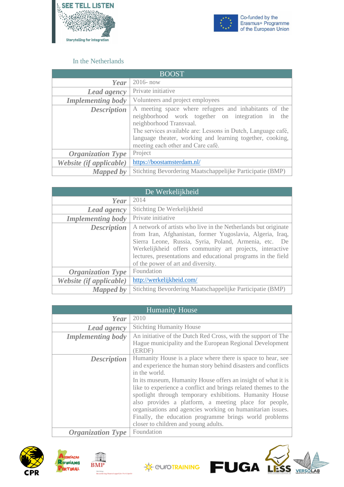



### In the Netherlands

<span id="page-26-0"></span>

| <b>BOOST</b>             |                                                                                                                                                                                                                                                                                                        |
|--------------------------|--------------------------------------------------------------------------------------------------------------------------------------------------------------------------------------------------------------------------------------------------------------------------------------------------------|
| Year                     | $2016 - now$                                                                                                                                                                                                                                                                                           |
| <b>Lead agency</b>       | Private initiative                                                                                                                                                                                                                                                                                     |
| <b>Implementing body</b> | Volunteers and project employees                                                                                                                                                                                                                                                                       |
| <b>Description</b>       | A meeting space where refugees and inhabitants of the<br>neighborhood work together on integration in the<br>neighborhood Transvaal.<br>The services available are: Lessons in Dutch, Language café,<br>language theater, working and learning together, cooking,<br>meeting each other and Care café. |
| <b>Organization Type</b> | Project                                                                                                                                                                                                                                                                                                |
| Website (if applicable)  | https://boostamsterdam.nl/                                                                                                                                                                                                                                                                             |
| <b>Mapped by</b>         | Stichting Bevordering Maatschappelijke Participatie (BMP)                                                                                                                                                                                                                                              |

| De Werkelijkheid         |                                                                                                                                                                                                                                                                                                                                                         |
|--------------------------|---------------------------------------------------------------------------------------------------------------------------------------------------------------------------------------------------------------------------------------------------------------------------------------------------------------------------------------------------------|
| Year                     | 2014                                                                                                                                                                                                                                                                                                                                                    |
| <b>Lead agency</b>       | Stichting De Werkelijkheid                                                                                                                                                                                                                                                                                                                              |
| <b>Implementing body</b> | Private initiative                                                                                                                                                                                                                                                                                                                                      |
| <b>Description</b>       | A network of artists who live in the Netherlands but originate<br>from Iran, Afghanistan, former Yugoslavia, Algeria, Iraq,<br>Sierra Leone, Russia, Syria, Poland, Armenia, etc. De<br>Werkelijkheid offers community art projects, interactive<br>lectures, presentations and educational programs in the field<br>of the power of art and diversity. |
| <b>Organization Type</b> | Foundation                                                                                                                                                                                                                                                                                                                                              |
| Website (if applicable)  | http://werkelijkheid.com/                                                                                                                                                                                                                                                                                                                               |
| <b>Mapped by</b>         | Stichting Bevordering Maatschappelijke Participatie (BMP)                                                                                                                                                                                                                                                                                               |

| <b>Humanity House</b>    |                                                                                                                                                                                                                                                                                                                                                                                                                                                                                                                                                                      |
|--------------------------|----------------------------------------------------------------------------------------------------------------------------------------------------------------------------------------------------------------------------------------------------------------------------------------------------------------------------------------------------------------------------------------------------------------------------------------------------------------------------------------------------------------------------------------------------------------------|
| Year                     | 2010                                                                                                                                                                                                                                                                                                                                                                                                                                                                                                                                                                 |
| <b>Lead agency</b>       | <b>Stichting Humanity House</b>                                                                                                                                                                                                                                                                                                                                                                                                                                                                                                                                      |
| <b>Implementing body</b> | An initiative of the Dutch Red Cross, with the support of The<br>Hague municipality and the European Regional Development<br>(ERDF)                                                                                                                                                                                                                                                                                                                                                                                                                                  |
| <b>Description</b>       | Humanity House is a place where there is space to hear, see<br>and experience the human story behind disasters and conflicts<br>in the world.<br>In its museum, Humanity House offers an insight of what it is<br>like to experience a conflict and brings related themes to the<br>spotlight through temporary exhibitions. Humanity House<br>also provides a platform, a meeting place for people,<br>organisations and agencies working on humanitarian issues.<br>Finally, the education programme brings world problems<br>closer to children and young adults. |
| <b>Organization Type</b> | Foundation                                                                                                                                                                                                                                                                                                                                                                                                                                                                                                                                                           |









AB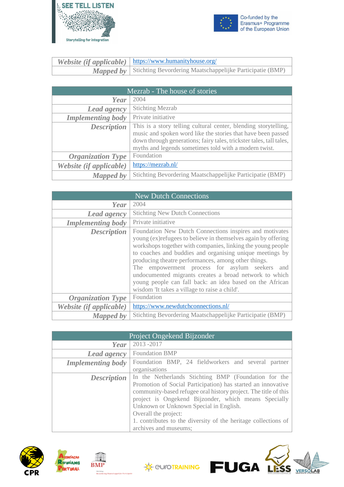



| <i>Website (if applicable)</i> $\vert$ https://www.humanityhouse.org/      |
|----------------------------------------------------------------------------|
| <b>Mapped by</b> Stichting Bevordering Maatschappelijke Participatie (BMP) |

| Mezrab - The house of stories |                                                                                                                                                                                                                                                                 |
|-------------------------------|-----------------------------------------------------------------------------------------------------------------------------------------------------------------------------------------------------------------------------------------------------------------|
| Year                          | 2004                                                                                                                                                                                                                                                            |
| <b>Lead agency</b>            | <b>Stichting Mezrab</b>                                                                                                                                                                                                                                         |
| <b>Implementing body</b>      | Private initiative                                                                                                                                                                                                                                              |
| <b>Description</b>            | This is a story telling cultural center, blending storytelling,<br>music and spoken word like the stories that have been passed<br>down through generations; fairy tales, trickster tales, tall tales,<br>myths and legends sometimes told with a modern twist. |
| <b>Organization Type</b>      | Foundation                                                                                                                                                                                                                                                      |
| Website (if applicable)       | https://mezrab.nl/                                                                                                                                                                                                                                              |
| <b>Mapped by</b>              | Stichting Bevordering Maatschappelijke Participatie (BMP)                                                                                                                                                                                                       |

| <b>New Dutch Connections</b> |                                                                                                                                                                                                                                                                                                                                                                                                                                                                                                                                         |
|------------------------------|-----------------------------------------------------------------------------------------------------------------------------------------------------------------------------------------------------------------------------------------------------------------------------------------------------------------------------------------------------------------------------------------------------------------------------------------------------------------------------------------------------------------------------------------|
| Year                         | 2004                                                                                                                                                                                                                                                                                                                                                                                                                                                                                                                                    |
| Lead agency                  | <b>Stichting New Dutch Connections</b>                                                                                                                                                                                                                                                                                                                                                                                                                                                                                                  |
| <b>Implementing body</b>     | Private initiative                                                                                                                                                                                                                                                                                                                                                                                                                                                                                                                      |
| <b>Description</b>           | Foundation New Dutch Connections inspires and motivates<br>young (ex) refugees to believe in themselves again by offering<br>workshops together with companies, linking the young people<br>to coaches and buddies and organising unique meetings by<br>producing theatre performances, among other things.<br>The empowerment process for asylum seekers<br>and<br>undocumented migrants creates a broad network to which<br>young people can fall back: an idea based on the African<br>wisdom 'It takes a village to raise a child'. |
| <b>Organization Type</b>     | Foundation                                                                                                                                                                                                                                                                                                                                                                                                                                                                                                                              |
| Website (if applicable)      | https://www.newdutchconnections.nl/                                                                                                                                                                                                                                                                                                                                                                                                                                                                                                     |
| <b>Mapped by</b>             | Stichting Bevordering Maatschappelijke Participatie (BMP)                                                                                                                                                                                                                                                                                                                                                                                                                                                                               |

| Project Ongekend Bijzonder |                                                                                                                                                                                                                                                                                                                                                                                                              |
|----------------------------|--------------------------------------------------------------------------------------------------------------------------------------------------------------------------------------------------------------------------------------------------------------------------------------------------------------------------------------------------------------------------------------------------------------|
| Year                       | 2013-2017                                                                                                                                                                                                                                                                                                                                                                                                    |
| <b>Lead agency</b>         | <b>Foundation BMP</b>                                                                                                                                                                                                                                                                                                                                                                                        |
| <b>Implementing body</b>   | Foundation BMP, 24 fieldworkers and several partner<br>organisations                                                                                                                                                                                                                                                                                                                                         |
| <b>Description</b>         | In the Netherlands Stichting BMP (Foundation for the<br>Promotion of Social Participation) has started an innovative<br>community-based refugee oral history project. The title of this<br>project is Ongekend Bijzonder, which means Specially<br>Unknown or Unknown Special in English.<br>Overall the project:<br>1. contributes to the diversity of the heritage collections of<br>archives and museums; |





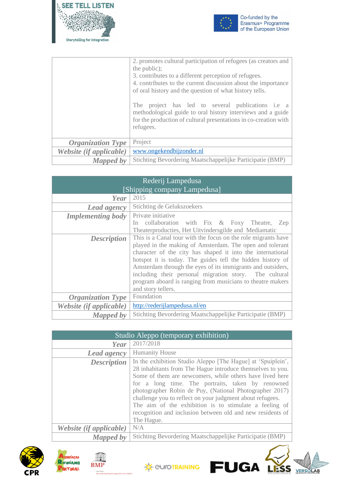



VERSOLAB

|                          | 2. promotes cultural participation of refugees (as creators and<br>the public);<br>3. contributes to a different perception of refugees.<br>4. contributes to the current discussion about the importance<br>of oral history and the question of what history tells.<br>project has led to several publications i.e a<br>The<br>methodological guide to oral history interviews and a guide<br>for the production of cultural presentations in co-creation with<br>refugees. |
|--------------------------|------------------------------------------------------------------------------------------------------------------------------------------------------------------------------------------------------------------------------------------------------------------------------------------------------------------------------------------------------------------------------------------------------------------------------------------------------------------------------|
| <b>Organization Type</b> | Project                                                                                                                                                                                                                                                                                                                                                                                                                                                                      |
| Website (if applicable)  | www.ongekendbijzonder.nl                                                                                                                                                                                                                                                                                                                                                                                                                                                     |
| Mapped by                | Stichting Bevordering Maatschappelijke Participatie (BMP)                                                                                                                                                                                                                                                                                                                                                                                                                    |

| Rederij Lampedusa<br>[Shipping company Lampedusa] |                                                                                                                                                                                                                                                                                                                                                                                                                                                                    |
|---------------------------------------------------|--------------------------------------------------------------------------------------------------------------------------------------------------------------------------------------------------------------------------------------------------------------------------------------------------------------------------------------------------------------------------------------------------------------------------------------------------------------------|
| Year                                              | 2015                                                                                                                                                                                                                                                                                                                                                                                                                                                               |
| Lead agency                                       | Stichting de Gelukszoekers                                                                                                                                                                                                                                                                                                                                                                                                                                         |
| <b>Implementing body</b>                          | Private initiative<br>In collaboration with Fix & Foxy Theatre,<br>Zep<br>Theaterproducties, Het Uitvindersgilde and Mediamatic                                                                                                                                                                                                                                                                                                                                    |
| <b>Description</b>                                | This is a Canal tour with the focus on the role migrants have<br>played in the making of Amsterdam. The open and tolerant<br>character of the city has shaped it into the international<br>hotspot it is today. The guides tell the hidden history of<br>Amsterdam through the eyes of its immigrants and outsiders,<br>including their personal migration story. The cultural<br>program aboard is ranging from musicians to theatre makers<br>and story tellers. |
| <b>Organization Type</b>                          | Foundation                                                                                                                                                                                                                                                                                                                                                                                                                                                         |
| Website (if applicable)                           | http://rederijlampedusa.nl/en                                                                                                                                                                                                                                                                                                                                                                                                                                      |
| Mapped by                                         | Stichting Bevordering Maatschappelijke Participatie (BMP)                                                                                                                                                                                                                                                                                                                                                                                                          |

| Studio Aleppo (temporary exhibition) |                                                                                                                                                                                                                                                                                                                                                                                                                                                                                                          |
|--------------------------------------|----------------------------------------------------------------------------------------------------------------------------------------------------------------------------------------------------------------------------------------------------------------------------------------------------------------------------------------------------------------------------------------------------------------------------------------------------------------------------------------------------------|
| Year                                 | 2017/2018                                                                                                                                                                                                                                                                                                                                                                                                                                                                                                |
| <b>Lead agency</b>                   | <b>Humanity House</b>                                                                                                                                                                                                                                                                                                                                                                                                                                                                                    |
| <b>Description</b>                   | In the exhibition Studio Aleppo [The Hague] at 'Spuiplein',<br>28 inhabitants from The Hague introduce themselves to you.<br>Some of them are newcomers, while others have lived here<br>for a long time. The portraits, taken by renowned<br>photographer Robin de Puy, (National Photographer 2017)<br>challenge you to reflect on your judgment about refugees.<br>The aim of the exhibition is to stimulate a feeling of<br>recognition and inclusion between old and new residents of<br>The Hague. |
| <i>Website (if applicable)</i>       | N/A                                                                                                                                                                                                                                                                                                                                                                                                                                                                                                      |
| <b>Mapped by</b>                     | Stichting Bevordering Maatschappelijke Participatie (BMP)                                                                                                                                                                                                                                                                                                                                                                                                                                                |





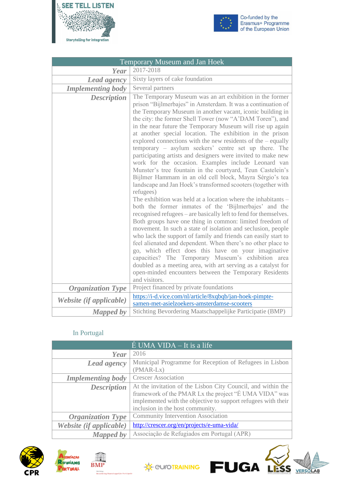



Ĺ

ESS

VERSOLAB

| Temporary Museum and Jan Hoek |                                                                                                                                                                                                                                                                                                                                                                                                                                                                                                                                                                                                                                                                                                                                                                                                                                                                                                                                                                                                                                                                                                                                                                                                                                                                                                                                                                                                                                                                                                                                           |
|-------------------------------|-------------------------------------------------------------------------------------------------------------------------------------------------------------------------------------------------------------------------------------------------------------------------------------------------------------------------------------------------------------------------------------------------------------------------------------------------------------------------------------------------------------------------------------------------------------------------------------------------------------------------------------------------------------------------------------------------------------------------------------------------------------------------------------------------------------------------------------------------------------------------------------------------------------------------------------------------------------------------------------------------------------------------------------------------------------------------------------------------------------------------------------------------------------------------------------------------------------------------------------------------------------------------------------------------------------------------------------------------------------------------------------------------------------------------------------------------------------------------------------------------------------------------------------------|
| Year                          | 2017-2018                                                                                                                                                                                                                                                                                                                                                                                                                                                                                                                                                                                                                                                                                                                                                                                                                                                                                                                                                                                                                                                                                                                                                                                                                                                                                                                                                                                                                                                                                                                                 |
| Lead agency                   | Sixty layers of cake foundation                                                                                                                                                                                                                                                                                                                                                                                                                                                                                                                                                                                                                                                                                                                                                                                                                                                                                                                                                                                                                                                                                                                                                                                                                                                                                                                                                                                                                                                                                                           |
| <b>Implementing body</b>      | Several partners                                                                                                                                                                                                                                                                                                                                                                                                                                                                                                                                                                                                                                                                                                                                                                                                                                                                                                                                                                                                                                                                                                                                                                                                                                                                                                                                                                                                                                                                                                                          |
| <b>Description</b>            | The Temporary Museum was an art exhibition in the former<br>prison "Bijlmerbajes" in Amsterdam. It was a continuation of<br>the Temporary Museum in another vacant, iconic building in<br>the city: the former Shell Tower (now "A'DAM Toren"), and<br>in the near future the Temporary Museum will rise up again<br>at another special location. The exhibition in the prison<br>explored connections with the new residents of the $-$ equally<br>temporary – asylum seekers' centre set up there. The<br>participating artists and designers were invited to make new<br>work for the occasion. Examples include Leonard van<br>Munster's tree fountain in the courtyard, Teun Castelein's<br>Bijlmer Hammam in an old cell block, Mayra Sérgio's tea<br>landscape and Jan Hoek's transformed scooters (together with<br>refugees)<br>The exhibition was held at a location where the inhabitants –<br>both the former inmates of the 'Bijlmerbajes' and the<br>recognised refugees – are basically left to fend for themselves.<br>Both groups have one thing in common: limited freedom of<br>movement. In such a state of isolation and seclusion, people<br>who lack the support of family and friends can easily start to<br>feel alienated and dependent. When there's no other place to<br>go, which effect does this have on your imaginative<br>capacities? The Temporary Museum's exhibition area<br>doubled as a meeting area, with art serving as a catalyst for<br>open-minded encounters between the Temporary Residents |
| <b>Organization Type</b>      | and visitors.<br>Project financed by private foundations                                                                                                                                                                                                                                                                                                                                                                                                                                                                                                                                                                                                                                                                                                                                                                                                                                                                                                                                                                                                                                                                                                                                                                                                                                                                                                                                                                                                                                                                                  |
| Website (if applicable)       | https://i-d.vice.com/nl/article/8xqbqb/jan-hoek-pimpte-<br>samen-met-asielzoekers-amsterdamse-scooters                                                                                                                                                                                                                                                                                                                                                                                                                                                                                                                                                                                                                                                                                                                                                                                                                                                                                                                                                                                                                                                                                                                                                                                                                                                                                                                                                                                                                                    |
| Mapped by                     | Stichting Bevordering Maatschappelijke Participatie (BMP)                                                                                                                                                                                                                                                                                                                                                                                                                                                                                                                                                                                                                                                                                                                                                                                                                                                                                                                                                                                                                                                                                                                                                                                                                                                                                                                                                                                                                                                                                 |

### In Portugal

<span id="page-29-0"></span>

| $E$ UMA VIDA – It is a life |                                                               |
|-----------------------------|---------------------------------------------------------------|
| Year                        | 2016                                                          |
| <b>Lead agency</b>          | Municipal Programme for Reception of Refugees in Lisbon       |
|                             | $(PMAR-Lx)$                                                   |
| <b>Implementing body</b>    | <b>Crescer Association</b>                                    |
| <b>Description</b>          | At the invitation of the Lisbon City Council, and within the  |
|                             | framework of the PMAR Lx the project "É UMA VIDA" was         |
|                             | implemented with the objective to support refugees with their |
|                             | inclusion in the host community.                              |
| <b>Organization Type</b>    | <b>Community Intervention Association</b>                     |
| Website (if applicable)     | http://crescer.org/en/projects/e-uma-vida/                    |
| <b>Mapped by</b>            | Associação de Refugiados em Portugal (APR)                    |





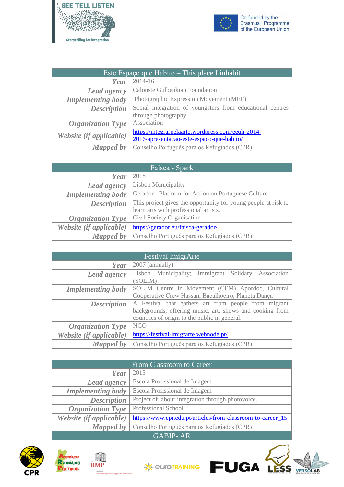



| Este Espaço que Habito – This place I inhabit |                                                           |
|-----------------------------------------------|-----------------------------------------------------------|
| Year                                          | 2014-16                                                   |
| Lead agency                                   | <b>Calouste Gulbenkian Foundation</b>                     |
| <b>Implementing body</b>                      | Photographic Expression Movement (MEF)                    |
| <b>Description</b>                            | Social integration of youngsters from educational centres |
|                                               | through photography.                                      |
| <b>Organization Type</b>                      | Association                                               |
| Website (if applicable)                       | https://integrarpelaarte.wordpress.com/eeqh-2014-         |
|                                               | 2016/apresentacao-este-espaco-que-habito/                 |
| <b>Mapped by</b>                              | Conselho Português para os Refugiados (CPR)               |

| Faísca - Spark           |                                                                |
|--------------------------|----------------------------------------------------------------|
| Year                     | 2018                                                           |
| Lead agency              | <b>Lisbon Municipality</b>                                     |
| <b>Implementing body</b> | Gerador - Platform for Action on Portuguese Culture            |
| <b>Description</b>       | This project gives the opportunity for young people at risk to |
|                          | learn arts with professional artists.                          |
| <b>Organization Type</b> | Civil Society Organisation                                     |
| Website (if applicable)  | https://gerador.eu/faisca-gerador/                             |
| <b>Mapped by</b>         | Conselho Português para os Refugiados (CPR)                    |

| <b>Festival ImigrArte</b> |                                                                |
|---------------------------|----------------------------------------------------------------|
| Year                      | 2007 (annually)                                                |
| Lead agency               | Lisbon Municipality; Immigrant Solidary Association<br>(SOLIM) |
| <b>Implementing body</b>  | SOLIM Centre in Movement (CEM) Apordoc, Cultural               |
|                           | Cooperative Crew Hassan, Bacalhoeiro, Planeta Dança            |
| <b>Description</b>        | A Festival that gathers art from people from migrant           |
|                           | backgrounds, offering music, art, shows and cooking from       |
|                           | countries of origin to the public in general.                  |
| <b>Organization Type</b>  | <b>NGO</b>                                                     |
| Website (if applicable)   | https://festival-imigrarte.webnode.pt/                         |
| Mapped by                 | Conselho Português para os Refugiados (CPR)                    |

| <b>From Classroom to Career</b> |                                                             |
|---------------------------------|-------------------------------------------------------------|
| Year                            | 2015                                                        |
| Lead agency                     | Escola Profissional de Imagem                               |
| <b>Implementing body</b>        | Escola Profissional de Imagem                               |
| <b>Description</b>              | Project of labour integration through photovoice.           |
| <b>Organization Type</b>        | Professional School                                         |
| Website (if applicable)         | https://www.epi.edu.pt/articles/from-classroom-to-career_15 |
| <b>Mapped by</b>                | Conselho Português para os Refugiados (CPR)                 |
| <b>GABIP-AR</b>                 |                                                             |









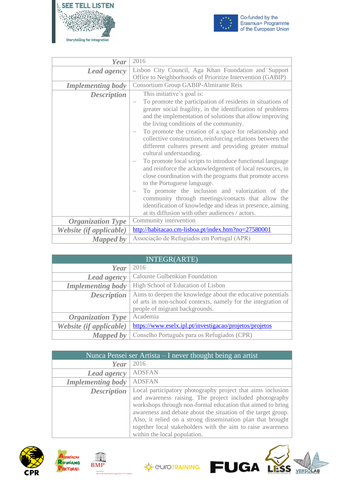



| Year                                        | 2016                                                                                                                                                                                                                                                                                                                                                                                                                                                                                                                                                                                                                                                                                                                                                                                                                                                                     |
|---------------------------------------------|--------------------------------------------------------------------------------------------------------------------------------------------------------------------------------------------------------------------------------------------------------------------------------------------------------------------------------------------------------------------------------------------------------------------------------------------------------------------------------------------------------------------------------------------------------------------------------------------------------------------------------------------------------------------------------------------------------------------------------------------------------------------------------------------------------------------------------------------------------------------------|
| <b>Lead agency</b>                          | Lisbon City Council, Aga Khan Foundation and Support<br>Office to Neighborhoods of Prioritize Intervention (GABIP)                                                                                                                                                                                                                                                                                                                                                                                                                                                                                                                                                                                                                                                                                                                                                       |
| <b>Implementing body</b>                    | Consortium Group GABIP-Almirante Reis                                                                                                                                                                                                                                                                                                                                                                                                                                                                                                                                                                                                                                                                                                                                                                                                                                    |
| <b>Description</b>                          | This initiative's goal is:<br>To promote the participation of residents in situations of<br>greater social fragility, in the identification of problems<br>and the implementation of solutions that allow improving<br>the living conditions of the community.<br>To promote the creation of a space for relationship and<br>collective construction, reinforcing relations between the<br>different cultures present and providing greater mutual<br>cultural understanding.<br>To promote local scripts to introduce functional language<br>and reinforce the acknowledgement of local resources, in<br>close coordination with the programs that promote access<br>to the Portuguese language.<br>To promote the inclusion and valorization of the<br>community through meetings/contacts that allow the<br>identification of knowledge and ideas in presence, aiming |
|                                             | at its diffusion with other audiences / actors.<br>Community intervention                                                                                                                                                                                                                                                                                                                                                                                                                                                                                                                                                                                                                                                                                                                                                                                                |
| <b>Organization Type</b>                    | http://habitacao.cm-lisboa.pt/index.htm?no=27580001                                                                                                                                                                                                                                                                                                                                                                                                                                                                                                                                                                                                                                                                                                                                                                                                                      |
| Website (if applicable)<br><b>Mapped</b> by | Associação de Refugiados em Portugal (APR)                                                                                                                                                                                                                                                                                                                                                                                                                                                                                                                                                                                                                                                                                                                                                                                                                               |

| <b>INTEGR(ARTE)</b>      |                                                               |
|--------------------------|---------------------------------------------------------------|
| Year                     | 2016                                                          |
| Lead agency              | <b>Calouste Gulbenkian Foundation</b>                         |
| <b>Implementing body</b> | High School of Education of Lisbon                            |
| <b>Description</b>       | Aims to deepen the knowledge about the educative potentials   |
|                          | of arts in non-school contexts, namely for the integration of |
|                          | people of migrant backgrounds.                                |
| <b>Organization Type</b> | Academia                                                      |
| Website (if applicable)  | https://www.eselx.ipl.pt/investigacao/projetos/projetos       |
| <b>Mapped by</b>         | Conselho Português para os Refugiados (CPR)                   |

| Nunca Pensei ser Artista – I never thought being an artist |                                                                                                                                                                                                                                                                                                                                                                                                                     |
|------------------------------------------------------------|---------------------------------------------------------------------------------------------------------------------------------------------------------------------------------------------------------------------------------------------------------------------------------------------------------------------------------------------------------------------------------------------------------------------|
| Year                                                       | 2016                                                                                                                                                                                                                                                                                                                                                                                                                |
| <b>Lead agency</b>                                         | <b>ADSFAN</b>                                                                                                                                                                                                                                                                                                                                                                                                       |
| <b>Implementing body</b>                                   | <b>ADSFAN</b>                                                                                                                                                                                                                                                                                                                                                                                                       |
| <b>Description</b>                                         | Local participatory photography project that aims inclusion<br>and awareness raising. The project included photography<br>workshops through non-formal education that aimed to bring<br>awareness and debate about the situation of the target group.<br>Also, it relied on a strong dissemination plan that brought<br>together local stakeholders with the aim to raise awareness<br>within the local population. |







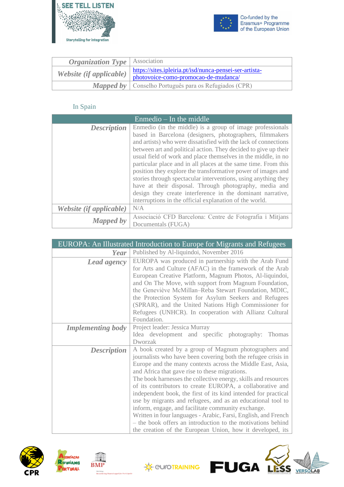



| <i><b>Organization Type</b></i>   Association |                                                                                                 |
|-----------------------------------------------|-------------------------------------------------------------------------------------------------|
| Website (if applicable)                       | https://sites.ipleiria.pt/isd/nunca-pensei-ser-artista-<br>photovoice-como-promocao-de-mudanca/ |
|                                               | <b>Mapped by</b>   Conselho Português para os Refugiados (CPR)                                  |

### In Spain

<span id="page-32-0"></span>

| Enmedio $-$ In the middle      |                                                                 |
|--------------------------------|-----------------------------------------------------------------|
| <b>Description</b>             | Enmedio (in the middle) is a group of image professionals       |
|                                | based in Barcelona (designers, photographers, filmmakers        |
|                                | and artists) who were dissatisfied with the lack of connections |
|                                | between art and political action. They decided to give up their |
|                                | usual field of work and place themselves in the middle, in no   |
|                                | particular place and in all places at the same time. From this  |
|                                | position they explore the transformative power of images and    |
|                                | stories through spectacular interventions, using anything they  |
|                                | have at their disposal. Through photography, media and          |
|                                | design they create interference in the dominant narrative,      |
|                                | interruptions in the official explanation of the world.         |
| <i>Website (if applicable)</i> | N/A                                                             |
| <b>Mapped by</b>               | Associació CFD Barcelona: Centre de Fotografia i Mitjans        |
|                                | Documentals (FUGA)                                              |

|                          | <b>EUROPA: An Illustrated Introduction to Europe for Migrants and Refugees</b>                                                                                                                                                                                                                                                                                                                                                                                                                                                                                                                                                                                                                                                                             |
|--------------------------|------------------------------------------------------------------------------------------------------------------------------------------------------------------------------------------------------------------------------------------------------------------------------------------------------------------------------------------------------------------------------------------------------------------------------------------------------------------------------------------------------------------------------------------------------------------------------------------------------------------------------------------------------------------------------------------------------------------------------------------------------------|
| Year                     | Published by Al-liquindoi, November 2016                                                                                                                                                                                                                                                                                                                                                                                                                                                                                                                                                                                                                                                                                                                   |
| <b>Lead agency</b>       | EUROPA was produced in partnership with the Arab Fund<br>for Arts and Culture (AFAC) in the framework of the Arab<br>European Creative Platform, Magnum Photos, Al-liquindoi,<br>and On The Move, with support from Magnum Foundation,<br>the Geneviève McMillan-Reba Stewart Foundation, MDIC,<br>the Protection System for Asylum Seekers and Refugees<br>(SPRAR), and the United Nations High Commissioner for<br>Refugees (UNHCR). In cooperation with Allianz Cultural<br>Foundation.                                                                                                                                                                                                                                                                 |
| <b>Implementing body</b> | Project leader: Jessica Murray<br>Idea development and specific photography:<br>Thomas<br>Dworzak                                                                                                                                                                                                                                                                                                                                                                                                                                                                                                                                                                                                                                                          |
| <b>Description</b>       | A book created by a group of Magnum photographers and<br>journalists who have been covering both the refugee crisis in<br>Europe and the many contexts across the Middle East, Asia,<br>and Africa that gave rise to these migrations.<br>The book harnesses the collective energy, skills and resources<br>of its contributors to create EUROPA, a collaborative and<br>independent book, the first of its kind intended for practical<br>use by migrants and refugees, and as an educational tool to<br>inform, engage, and facilitate community exchange.<br>Written in four languages - Arabic, Farsi, English, and French<br>- the book offers an introduction to the motivations behind<br>the creation of the European Union, how it developed, its |







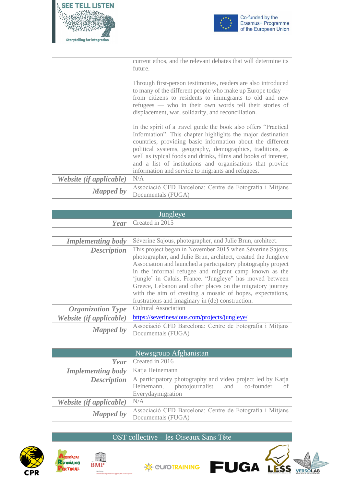



|                                | current ethos, and the relevant debates that will determine its<br>future.                                                                                                                                                                                                                                                                                                                                                                      |
|--------------------------------|-------------------------------------------------------------------------------------------------------------------------------------------------------------------------------------------------------------------------------------------------------------------------------------------------------------------------------------------------------------------------------------------------------------------------------------------------|
|                                | Through first-person testimonies, readers are also introduced<br>to many of the different people who make up Europe today $-$<br>from citizens to residents to immigrants to old and new<br>refugees — who in their own words tell their stories of<br>displacement, war, solidarity, and reconciliation.                                                                                                                                       |
|                                | In the spirit of a travel guide the book also offers "Practical"<br>Information". This chapter highlights the major destination<br>countries, providing basic information about the different<br>political systems, geography, demographics, traditions, as<br>well as typical foods and drinks, films and books of interest,<br>and a list of institutions and organisations that provide<br>information and service to migrants and refugees. |
| <i>Website (if applicable)</i> | N/A                                                                                                                                                                                                                                                                                                                                                                                                                                             |
| <b>Mapped by</b>               | Associació CFD Barcelona: Centre de Fotografia i Mitjans<br>Documentals (FUGA)                                                                                                                                                                                                                                                                                                                                                                  |

| Jungleye                 |                                                                                                                                                                                                                                                                                                                                                                                                                                                                                               |
|--------------------------|-----------------------------------------------------------------------------------------------------------------------------------------------------------------------------------------------------------------------------------------------------------------------------------------------------------------------------------------------------------------------------------------------------------------------------------------------------------------------------------------------|
| Year                     | Created in 2015                                                                                                                                                                                                                                                                                                                                                                                                                                                                               |
|                          |                                                                                                                                                                                                                                                                                                                                                                                                                                                                                               |
| <b>Implementing body</b> | Séverine Sajous, photographer, and Julie Brun, architect.                                                                                                                                                                                                                                                                                                                                                                                                                                     |
| <b>Description</b>       | This project began in November 2015 when Séverine Sajous,<br>photographer, and Julie Brun, architect, created the Jungleye<br>Association and launched a participatory photography project<br>in the informal refugee and migrant camp known as the<br>'jungle' in Calais, France. "Jungleye" has moved between<br>Greece, Lebanon and other places on the migratory journey<br>with the aim of creating a mosaic of hopes, expectations,<br>frustrations and imaginary in (de) construction. |
| <b>Organization Type</b> | <b>Cultural Association</b>                                                                                                                                                                                                                                                                                                                                                                                                                                                                   |
| Website (if applicable)  | https://severinesajous.com/projects/jungleye/                                                                                                                                                                                                                                                                                                                                                                                                                                                 |
| <b>Mapped by</b>         | Associació CFD Barcelona: Centre de Fotografia i Mitjans<br>Documentals (FUGA)                                                                                                                                                                                                                                                                                                                                                                                                                |

| Newsgroup Afghanistan    |                                                            |
|--------------------------|------------------------------------------------------------|
| Year                     | Created in 2016                                            |
| <b>Implementing body</b> | Katja Heinemann                                            |
| <b>Description</b>       | A participatory photography and video project led by Katja |
|                          | photojournalist and co-founder<br>Heinemann,<br>of         |
|                          | Everydaymigration                                          |
| Website (if applicable)  | N/A                                                        |
| <b>Mapped by</b>         | Associació CFD Barcelona: Centre de Fotografia i Mitjans   |
|                          | Documentals (FUGA)                                         |

#### OST collective – les Oiseaux Sans Tête







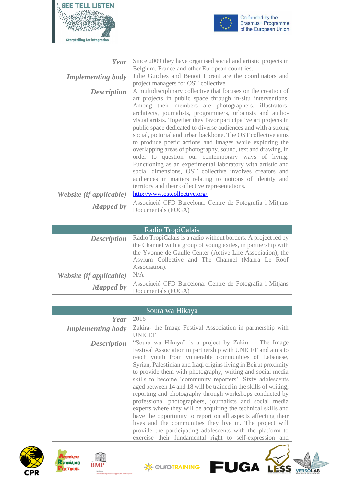



| Year                     | Since 2009 they have organised social and artistic projects in                 |
|--------------------------|--------------------------------------------------------------------------------|
|                          | Belgium, France and other European countries.                                  |
| <b>Implementing body</b> | Julie Guiches and Benoit Lorent are the coordinators and                       |
|                          | project managers for OST collective                                            |
| <b>Description</b>       | A multidisciplinary collective that focuses on the creation of                 |
|                          | art projects in public space through in-situ interventions.                    |
|                          | Among their members are photographers, illustrators,                           |
|                          | architects, journalists, programmers, urbanists and audio-                     |
|                          | visual artists. Together they favor participative art projects in              |
|                          | public space dedicated to diverse audiences and with a strong                  |
|                          | social, pictorial and urban backbone. The OST collective aims                  |
|                          | to produce poetic actions and images while exploring the                       |
|                          | overlapping areas of photography, sound, text and drawing, in                  |
|                          | order to question our contemporary ways of living.                             |
|                          | Functioning as an experimental laboratory with artistic and                    |
|                          | social dimensions, OST collective involves creators and                        |
|                          | audiences in matters relating to notions of identity and                       |
|                          | territory and their collective representations.                                |
| Website (if applicable)  | http://www.ostcollective.org/                                                  |
|                          |                                                                                |
| <b>Mapped by</b>         | Associació CFD Barcelona: Centre de Fotografia i Mitjans<br>Documentals (FUGA) |
|                          |                                                                                |

| Radio TropiCalais              |                                                                                                                                                                                                                                                                    |
|--------------------------------|--------------------------------------------------------------------------------------------------------------------------------------------------------------------------------------------------------------------------------------------------------------------|
| <b>Description</b>             | Radio TropiCalais is a radio without borders. A project led by<br>the Channel with a group of young exiles, in partnership with<br>the Yvonne de Gaulle Center (Active Life Association), the<br>Asylum Collective and The Channel (Mahra Le Roof<br>Association). |
| <i>Website (if applicable)</i> | N/A                                                                                                                                                                                                                                                                |
| <b>Mapped by</b>               | Associació CFD Barcelona: Centre de Fotografia i Mitjans<br>Documentals (FUGA)                                                                                                                                                                                     |







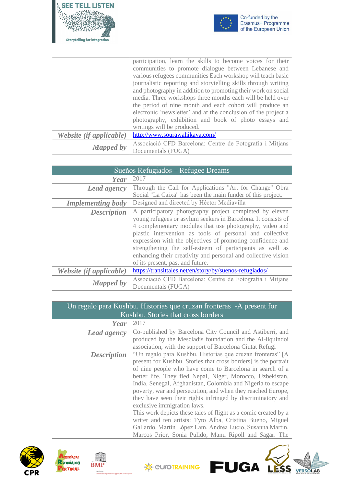



|                         | participation, learn the skills to become voices for their     |
|-------------------------|----------------------------------------------------------------|
|                         | communities to promote dialogue between Lebanese and           |
|                         | various refugees communities Each workshop will teach basic    |
|                         | journalistic reporting and storytelling skills through writing |
|                         | and photography in addition to promoting their work on social  |
|                         | media. Three workshops three months each will be held over     |
|                         | the period of nine month and each cohort will produce an       |
|                         | electronic 'newsletter' and at the conclusion of the project a |
|                         | photography, exhibition and book of photo essays and           |
|                         | writings will be produced.                                     |
| Website (if applicable) | http://www.sourawahikaya.com/                                  |
| <b>Mapped by</b>        | Associació CFD Barcelona: Centre de Fotografia i Mitjans       |
|                         | Documentals (FUGA)                                             |

| Sueños Refugiados – Refugee Dreams |                                                                                                                                                                                                                                                                                                                                                                                                                                                                                |
|------------------------------------|--------------------------------------------------------------------------------------------------------------------------------------------------------------------------------------------------------------------------------------------------------------------------------------------------------------------------------------------------------------------------------------------------------------------------------------------------------------------------------|
| Year                               | 2017                                                                                                                                                                                                                                                                                                                                                                                                                                                                           |
| Lead agency                        | Through the Call for Applications "Art for Change" Obra<br>Social "La Caixa" has been the main funder of this project.                                                                                                                                                                                                                                                                                                                                                         |
| <b>Implementing body</b>           | Designed and directed by Héctor Mediavilla                                                                                                                                                                                                                                                                                                                                                                                                                                     |
| <b>Description</b>                 | A participatory photography project completed by eleven<br>young refugees or asylum seekers in Barcelona. It consists of<br>4 complementary modules that use photography, video and<br>plastic intervention as tools of personal and collective<br>expression with the objectives of promoting confidence and<br>strengthening the self-esteem of participants as well as<br>enhancing their creativity and personal and collective vision<br>of its present, past and future. |
| Website (if applicable)            | https://transittales.net/en/story/by/suenos-refugiados/                                                                                                                                                                                                                                                                                                                                                                                                                        |
| <b>Mapped by</b>                   | Associació CFD Barcelona: Centre de Fotografia i Mitjans<br>Documentals (FUGA)                                                                                                                                                                                                                                                                                                                                                                                                 |

| Un regalo para Kushbu. Historias que cruzan fronteras - A present for<br>Kushbu. Stories that cross borders |                                                                                                                                                                                                                                                                                                                                                                                                                                                                                                                                                                                                                                                                                                                                           |
|-------------------------------------------------------------------------------------------------------------|-------------------------------------------------------------------------------------------------------------------------------------------------------------------------------------------------------------------------------------------------------------------------------------------------------------------------------------------------------------------------------------------------------------------------------------------------------------------------------------------------------------------------------------------------------------------------------------------------------------------------------------------------------------------------------------------------------------------------------------------|
| Year                                                                                                        | 2017                                                                                                                                                                                                                                                                                                                                                                                                                                                                                                                                                                                                                                                                                                                                      |
| <b>Lead agency</b>                                                                                          | Co-published by Barcelona City Council and Astiberri, and<br>produced by the Mescladis foundation and the Al-liquindoi<br>association, with the support of Barcelona Ciutat Refugi                                                                                                                                                                                                                                                                                                                                                                                                                                                                                                                                                        |
| <b>Description</b>                                                                                          | "Un regalo para Kushbu. Historias que cruzan fronteras" [A]<br>present for Kushbu. Stories that cross borders is the portrait<br>of nine people who have come to Barcelona in search of a<br>better life. They fled Nepal, Niger, Morocco, Uzbekistan,<br>India, Senegal, Afghanistan, Colombia and Nigeria to escape<br>poverty, war and persecution, and when they reached Europe,<br>they have seen their rights infringed by discriminatory and<br>exclusive immigration laws.<br>This work depicts these tales of flight as a comic created by a<br>writer and ten artists: Tyto Alba, Cristina Bueno, Miguel<br>Gallardo, Martín López Lam, Andrea Lucio, Susanna Martín,<br>Marcos Prior, Sonia Pulido, Manu Ripoll and Sagar. The |







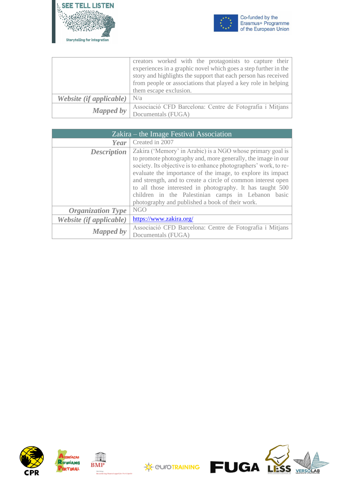



|                         | creators worked with the protagonists to capture their          |
|-------------------------|-----------------------------------------------------------------|
|                         | experiences in a graphic novel which goes a step further in the |
|                         | story and highlights the support that each person has received  |
|                         | from people or associations that played a key role in helping   |
|                         | them escape exclusion.                                          |
| Website (if applicable) | N/a                                                             |
| <b>Mapped by</b>        | Associació CFD Barcelona: Centre de Fotografia i Mitjans        |
|                         | Documentals (FUGA)                                              |

| $Zakira$ – the Image Festival Association |                                                                                                                                                                                                                                                                                                                                                                                                                                                                                                     |
|-------------------------------------------|-----------------------------------------------------------------------------------------------------------------------------------------------------------------------------------------------------------------------------------------------------------------------------------------------------------------------------------------------------------------------------------------------------------------------------------------------------------------------------------------------------|
| Year                                      | Created in 2007                                                                                                                                                                                                                                                                                                                                                                                                                                                                                     |
| <b>Description</b>                        | Zakira ('Memory' in Arabic) is a NGO whose primary goal is<br>to promote photography and, more generally, the image in our<br>society. Its objective is to enhance photographers' work, to re-<br>evaluate the importance of the image, to explore its impact<br>and strength, and to create a circle of common interest open<br>to all those interested in photography. It has taught 500<br>children in the Palestinian camps in Lebanon basic<br>photography and published a book of their work. |
| <b>Organization Type</b>                  | NGO                                                                                                                                                                                                                                                                                                                                                                                                                                                                                                 |
| Website (if applicable)                   | https://www.zakira.org/                                                                                                                                                                                                                                                                                                                                                                                                                                                                             |
| <b>Mapped by</b>                          | Associació CFD Barcelona: Centre de Fotografia i Mitjans<br>Documentals (FUGA)                                                                                                                                                                                                                                                                                                                                                                                                                      |